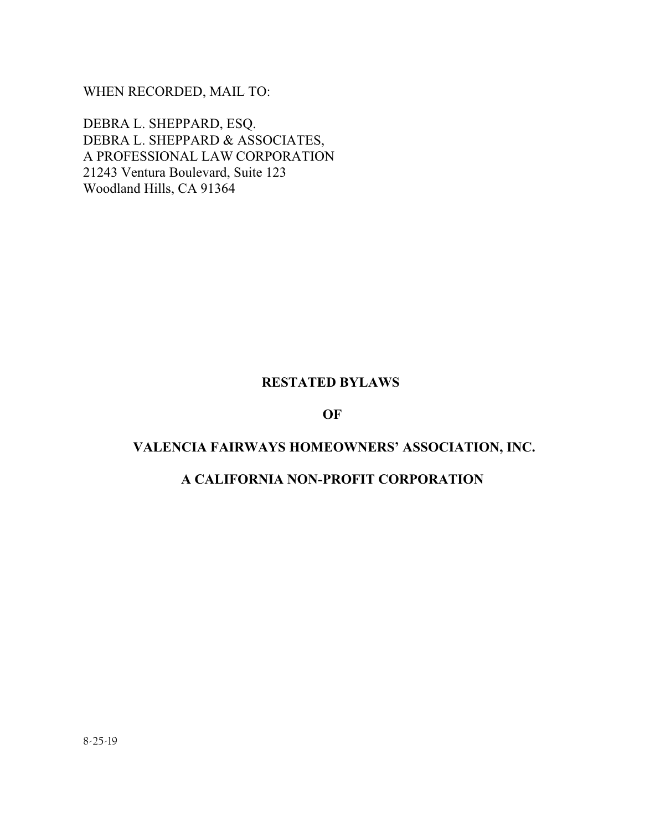WHEN RECORDED, MAIL TO:

DEBRA L. SHEPPARD, ESQ. DEBRA L. SHEPPARD & ASSOCIATES, A PROFESSIONAL LAW CORPORATION 21243 Ventura Boulevard, Suite 123 Woodland Hills, CA 91364

# **RESTATED BYLAWS**

#### **OF**

# **VALENCIA FAIRWAYS HOMEOWNERS' ASSOCIATION, INC.**

# **A CALIFORNIA NON-PROFIT CORPORATION**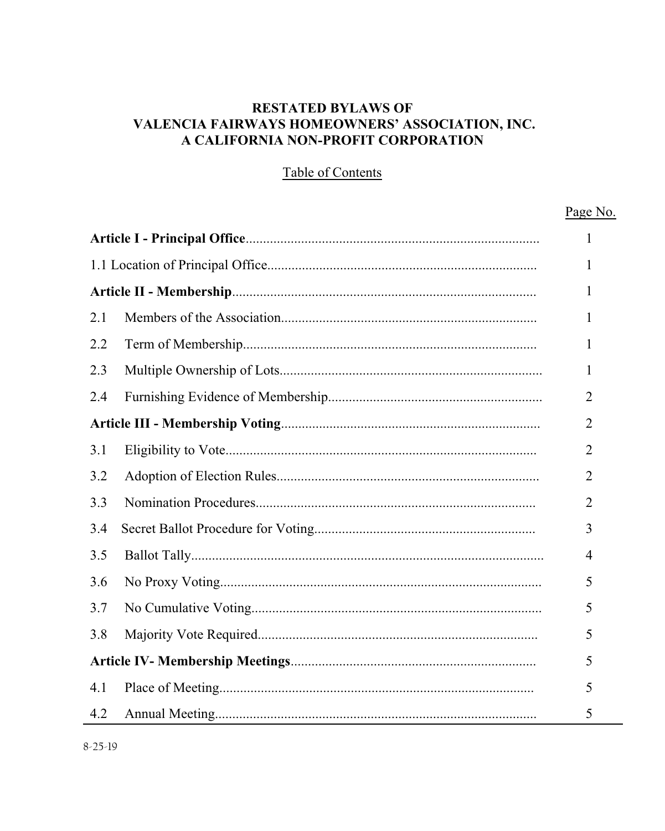# **RESTATED BYLAWS OF VALENCIA FAIRWAYS HOMEOWNERS' ASSOCIATION, INC. A CALIFORNIA NON-PROFIT CORPORATION**

# Table of Contents

#### Page No.  $\mathbf{1}$  $\mathbf{1}$ 1  $2.1$  $\mathbf{1}$  $2.2$  $\mathbf{1}$  $2.3$  $\mathbf{1}$ 2.4 2  $\overline{2}$  $3.1$  $\overline{2}$  $32$  $\overline{2}$  $3.3$  $\overline{2}$  $3.4$ 3  $3.5$  $\overline{4}$  $36$ 5  $3.7$ 5 5 3.8 5 4 1 5  $4.2$ 5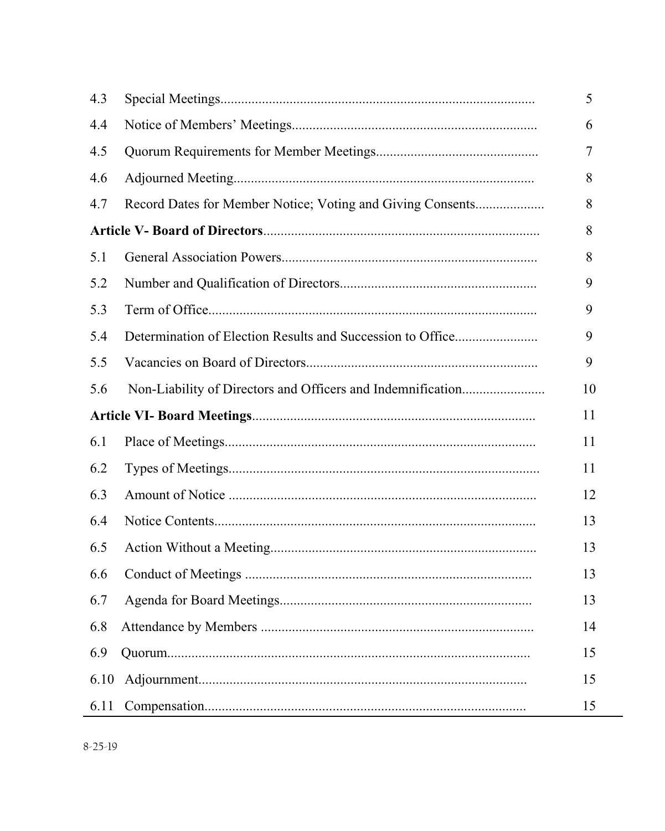| 4.3  |                                                            | 5  |
|------|------------------------------------------------------------|----|
| 4.4  |                                                            | 6  |
| 4.5  |                                                            | 7  |
| 4.6  |                                                            | 8  |
| 4.7  | Record Dates for Member Notice; Voting and Giving Consents | 8  |
|      |                                                            |    |
| 5.1  |                                                            | 8  |
| 5.2  |                                                            | 9  |
| 5.3  |                                                            | 9  |
| 5.4  |                                                            | 9  |
| 5.5  |                                                            | 9  |
| 5.6  |                                                            | 10 |
|      |                                                            |    |
| 6.1  |                                                            | 11 |
| 6.2  |                                                            | 11 |
| 6.3  |                                                            | 12 |
| 6.4  |                                                            | 13 |
| 6.5  |                                                            | 13 |
| 6.6  |                                                            | 13 |
| 6.7  |                                                            | 13 |
| 6.8  |                                                            | 14 |
| 6.9  |                                                            | 15 |
| 6.10 |                                                            | 15 |
| 6.11 |                                                            | 15 |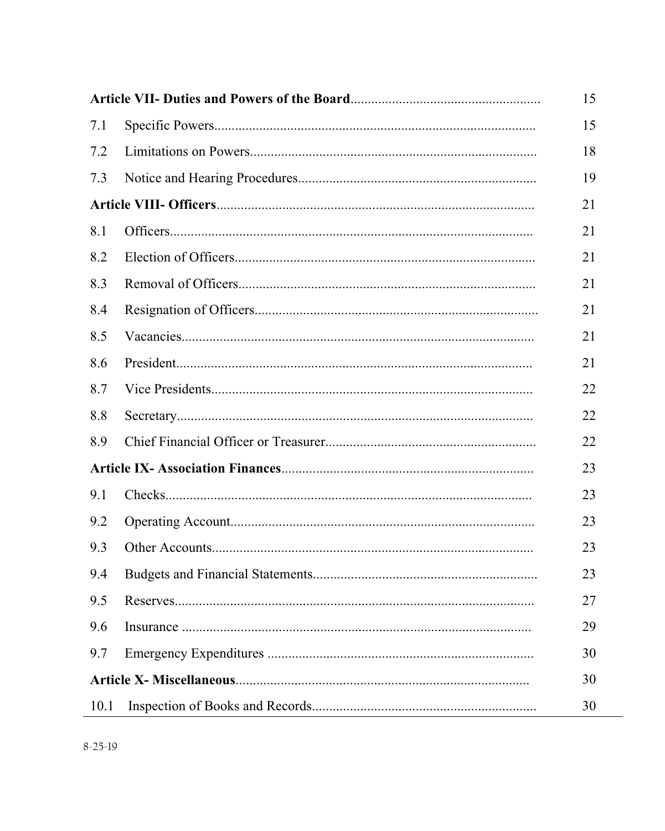|      |  | 15 |
|------|--|----|
| 7.1  |  | 15 |
| 7.2  |  | 18 |
| 7.3  |  | 19 |
|      |  |    |
| 8.1  |  | 21 |
| 8.2  |  | 21 |
| 8.3  |  | 21 |
| 8.4  |  | 21 |
| 8.5  |  | 21 |
| 8.6  |  | 21 |
| 8.7  |  | 22 |
| 8.8  |  | 22 |
| 8.9  |  | 22 |
|      |  | 23 |
| 9.1  |  | 23 |
| 9.2  |  | 23 |
| 9.3  |  | 23 |
| 9.4  |  | 23 |
| 9.5  |  | 27 |
| 9.6  |  | 29 |
| 9.7  |  | 30 |
|      |  |    |
| 10.1 |  | 30 |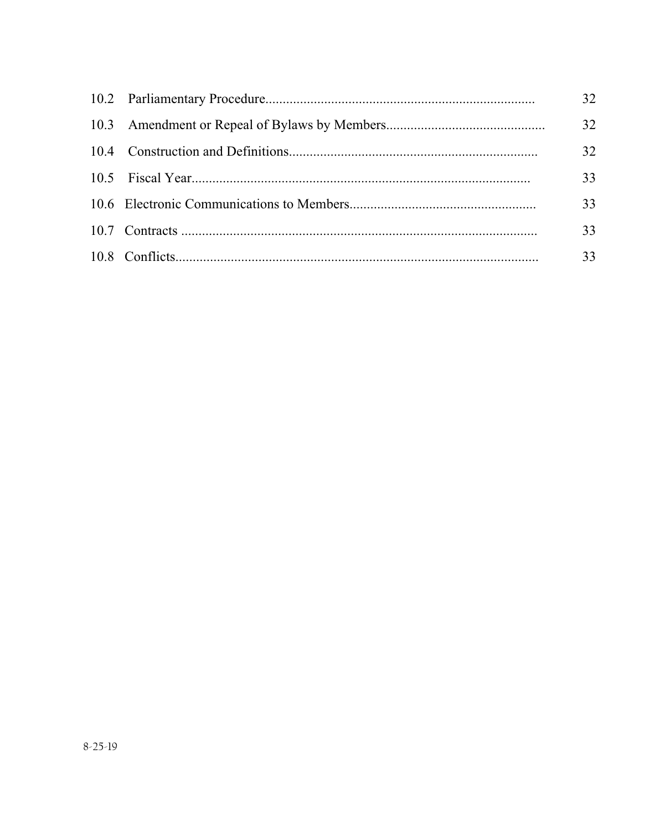|  | 32 |
|--|----|
|  | 32 |
|  | 32 |
|  | 33 |
|  | 33 |
|  | 33 |
|  | 33 |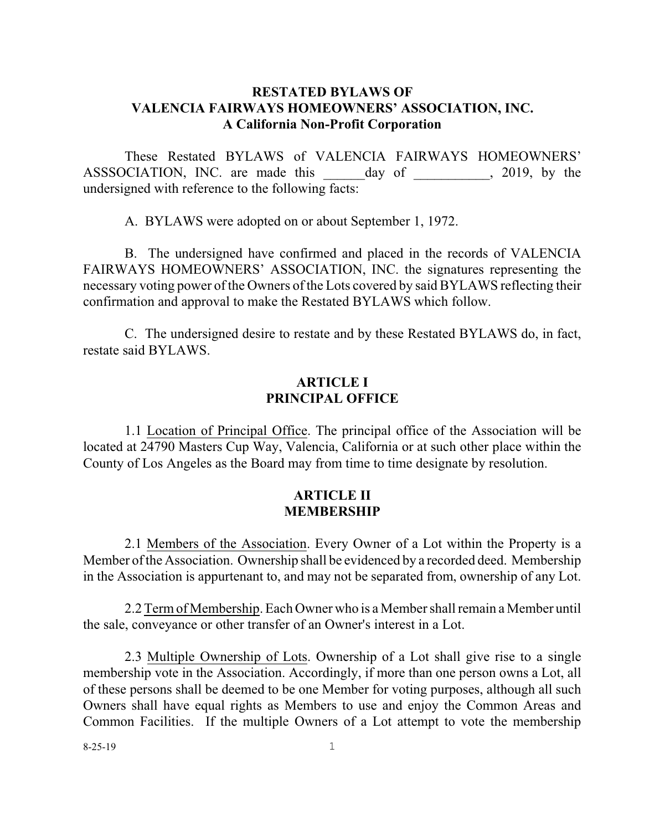## **RESTATED BYLAWS OF VALENCIA FAIRWAYS HOMEOWNERS' ASSOCIATION, INC. A California Non-Profit Corporation**

These Restated BYLAWS of VALENCIA FAIRWAYS HOMEOWNERS' ASSSOCIATION, INC. are made this \_\_\_\_\_ day of \_\_\_\_\_\_\_\_\_, 2019, by the undersigned with reference to the following facts:

A. BYLAWS were adopted on or about September 1, 1972.

B. The undersigned have confirmed and placed in the records of VALENCIA FAIRWAYS HOMEOWNERS' ASSOCIATION, INC. the signatures representing the necessary voting power of the Owners of the Lots covered by said BYLAWS reflecting their confirmation and approval to make the Restated BYLAWS which follow.

C. The undersigned desire to restate and by these Restated BYLAWS do, in fact, restate said BYLAWS.

## **ARTICLE I PRINCIPAL OFFICE**

1.1 Location of Principal Office. The principal office of the Association will be located at 24790 Masters Cup Way, Valencia, California or at such other place within the County of Los Angeles as the Board may from time to time designate by resolution.

#### **ARTICLE II MEMBERSHIP**

2.1 Members of the Association. Every Owner of a Lot within the Property is a Member of the Association. Ownership shall be evidenced by a recorded deed. Membership in the Association is appurtenant to, and may not be separated from, ownership of any Lot.

2.2 Termof Membership.Each Owner who is a Member shall remain a Member until the sale, conveyance or other transfer of an Owner's interest in a Lot.

2.3 Multiple Ownership of Lots. Ownership of a Lot shall give rise to a single membership vote in the Association. Accordingly, if more than one person owns a Lot, all of these persons shall be deemed to be one Member for voting purposes, although all such Owners shall have equal rights as Members to use and enjoy the Common Areas and Common Facilities. If the multiple Owners of a Lot attempt to vote the membership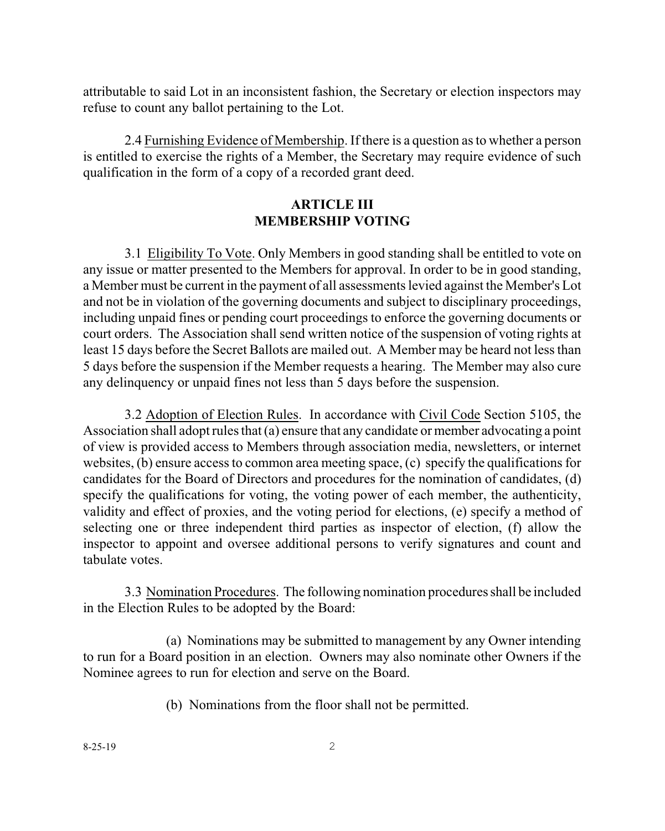attributable to said Lot in an inconsistent fashion, the Secretary or election inspectors may refuse to count any ballot pertaining to the Lot.

2.4 Furnishing Evidence of Membership. If there is a question as to whether a person is entitled to exercise the rights of a Member, the Secretary may require evidence of such qualification in the form of a copy of a recorded grant deed.

## **ARTICLE III MEMBERSHIP VOTING**

3.1 Eligibility To Vote. Only Members in good standing shall be entitled to vote on any issue or matter presented to the Members for approval. In order to be in good standing, a Member must be current in the payment of all assessments levied against the Member's Lot and not be in violation of the governing documents and subject to disciplinary proceedings, including unpaid fines or pending court proceedings to enforce the governing documents or court orders. The Association shall send written notice of the suspension of voting rights at least 15 days before the Secret Ballots are mailed out. A Member may be heard not less than 5 days before the suspension if the Member requests a hearing. The Member may also cure any delinquency or unpaid fines not less than 5 days before the suspension.

3.2 Adoption of Election Rules. In accordance with Civil Code Section 5105, the Association shall adopt rules that (a) ensure that any candidate or member advocating a point of view is provided access to Members through association media, newsletters, or internet websites, (b) ensure access to common area meeting space, (c) specify the qualifications for candidates for the Board of Directors and procedures for the nomination of candidates, (d) specify the qualifications for voting, the voting power of each member, the authenticity, validity and effect of proxies, and the voting period for elections, (e) specify a method of selecting one or three independent third parties as inspector of election, (f) allow the inspector to appoint and oversee additional persons to verify signatures and count and tabulate votes.

3.3 Nomination Procedures. The following nomination proceduresshall be included in the Election Rules to be adopted by the Board:

(a) Nominations may be submitted to management by any Owner intending to run for a Board position in an election. Owners may also nominate other Owners if the Nominee agrees to run for election and serve on the Board.

(b) Nominations from the floor shall not be permitted.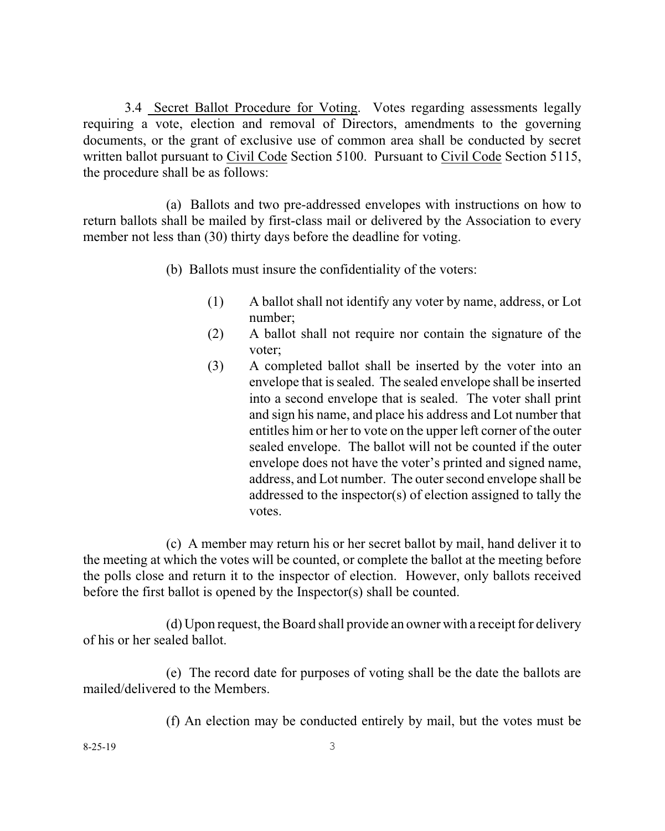3.4 Secret Ballot Procedure for Voting. Votes regarding assessments legally requiring a vote, election and removal of Directors, amendments to the governing documents, or the grant of exclusive use of common area shall be conducted by secret written ballot pursuant to Civil Code Section 5100. Pursuant to Civil Code Section 5115, the procedure shall be as follows:

(a) Ballots and two pre-addressed envelopes with instructions on how to return ballots shall be mailed by first-class mail or delivered by the Association to every member not less than (30) thirty days before the deadline for voting.

(b) Ballots must insure the confidentiality of the voters:

- (1) A ballot shall not identify any voter by name, address, or Lot number;
- (2) A ballot shall not require nor contain the signature of the voter;
- (3) A completed ballot shall be inserted by the voter into an envelope that is sealed. The sealed envelope shall be inserted into a second envelope that is sealed. The voter shall print and sign his name, and place his address and Lot number that entitles him or her to vote on the upper left corner of the outer sealed envelope. The ballot will not be counted if the outer envelope does not have the voter's printed and signed name, address, and Lot number. The outer second envelope shall be addressed to the inspector(s) of election assigned to tally the votes.

(c) A member may return his or her secret ballot by mail, hand deliver it to the meeting at which the votes will be counted, or complete the ballot at the meeting before the polls close and return it to the inspector of election. However, only ballots received before the first ballot is opened by the Inspector(s) shall be counted.

(d) Upon request, the Board shall provide an owner with a receipt for delivery of his or her sealed ballot.

(e) The record date for purposes of voting shall be the date the ballots are mailed/delivered to the Members.

(f) An election may be conducted entirely by mail, but the votes must be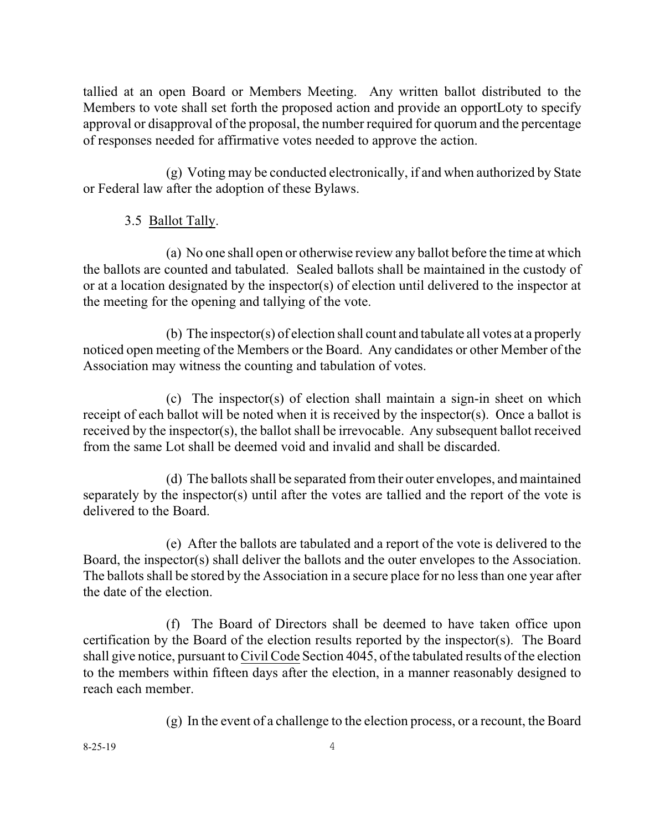tallied at an open Board or Members Meeting. Any written ballot distributed to the Members to vote shall set forth the proposed action and provide an opportLoty to specify approval or disapproval of the proposal, the number required for quorum and the percentage of responses needed for affirmative votes needed to approve the action.

(g) Voting may be conducted electronically, if and when authorized by State or Federal law after the adoption of these Bylaws.

# 3.5 Ballot Tally.

(a) No one shall open or otherwise review any ballot before the time at which the ballots are counted and tabulated. Sealed ballots shall be maintained in the custody of or at a location designated by the inspector(s) of election until delivered to the inspector at the meeting for the opening and tallying of the vote.

(b) The inspector(s) of election shall count and tabulate all votes at a properly noticed open meeting of the Members or the Board. Any candidates or other Member of the Association may witness the counting and tabulation of votes.

(c) The inspector(s) of election shall maintain a sign-in sheet on which receipt of each ballot will be noted when it is received by the inspector(s). Once a ballot is received by the inspector(s), the ballot shall be irrevocable. Any subsequent ballot received from the same Lot shall be deemed void and invalid and shall be discarded.

(d) The ballots shall be separated from their outer envelopes, and maintained separately by the inspector(s) until after the votes are tallied and the report of the vote is delivered to the Board.

(e) After the ballots are tabulated and a report of the vote is delivered to the Board, the inspector(s) shall deliver the ballots and the outer envelopes to the Association. The ballots shall be stored by the Association in a secure place for no less than one year after the date of the election.

(f) The Board of Directors shall be deemed to have taken office upon certification by the Board of the election results reported by the inspector(s). The Board shall give notice, pursuant to Civil Code Section 4045, of the tabulated results of the election to the members within fifteen days after the election, in a manner reasonably designed to reach each member.

(g) In the event of a challenge to the election process, or a recount, the Board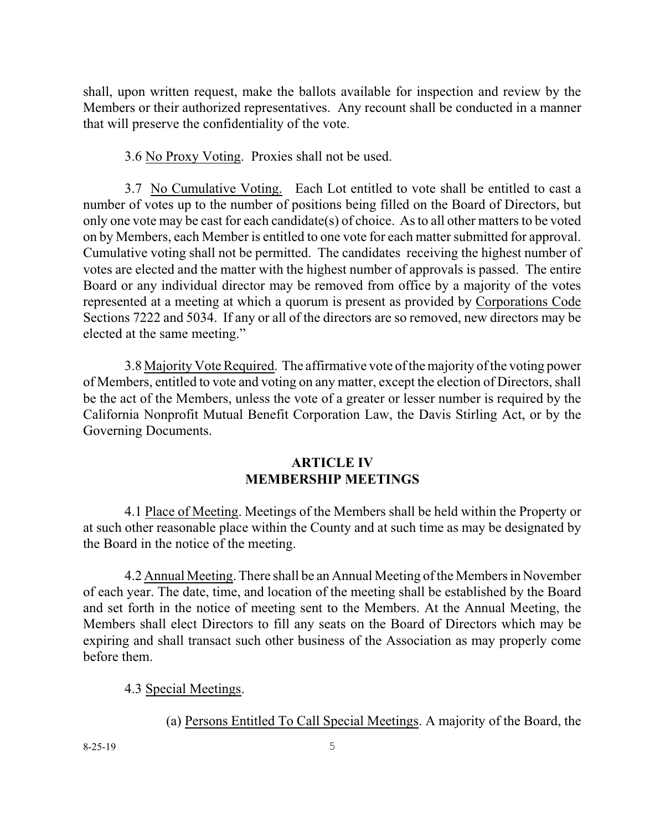shall, upon written request, make the ballots available for inspection and review by the Members or their authorized representatives. Any recount shall be conducted in a manner that will preserve the confidentiality of the vote.

3.6 No Proxy Voting. Proxies shall not be used.

3.7 No Cumulative Voting. Each Lot entitled to vote shall be entitled to cast a number of votes up to the number of positions being filled on the Board of Directors, but only one vote may be cast for each candidate(s) of choice. As to all other matters to be voted on by Members, each Member is entitled to one vote for each matter submitted for approval. Cumulative voting shall not be permitted. The candidates receiving the highest number of votes are elected and the matter with the highest number of approvals is passed. The entire Board or any individual director may be removed from office by a majority of the votes represented at a meeting at which a quorum is present as provided by Corporations Code Sections 7222 and 5034. If any or all of the directors are so removed, new directors may be elected at the same meeting."

3.8 Majority Vote Required. The affirmative vote of the majority of the voting power of Members, entitled to vote and voting on any matter, except the election of Directors, shall be the act of the Members, unless the vote of a greater or lesser number is required by the California Nonprofit Mutual Benefit Corporation Law, the Davis Stirling Act, or by the Governing Documents.

## **ARTICLE IV MEMBERSHIP MEETINGS**

4.1 Place of Meeting. Meetings of the Members shall be held within the Property or at such other reasonable place within the County and at such time as may be designated by the Board in the notice of the meeting.

4.2 Annual Meeting.There shall be an Annual Meeting of the Members in November of each year. The date, time, and location of the meeting shall be established by the Board and set forth in the notice of meeting sent to the Members. At the Annual Meeting, the Members shall elect Directors to fill any seats on the Board of Directors which may be expiring and shall transact such other business of the Association as may properly come before them.

# 4.3 Special Meetings.

(a) Persons Entitled To Call Special Meetings. A majority of the Board, the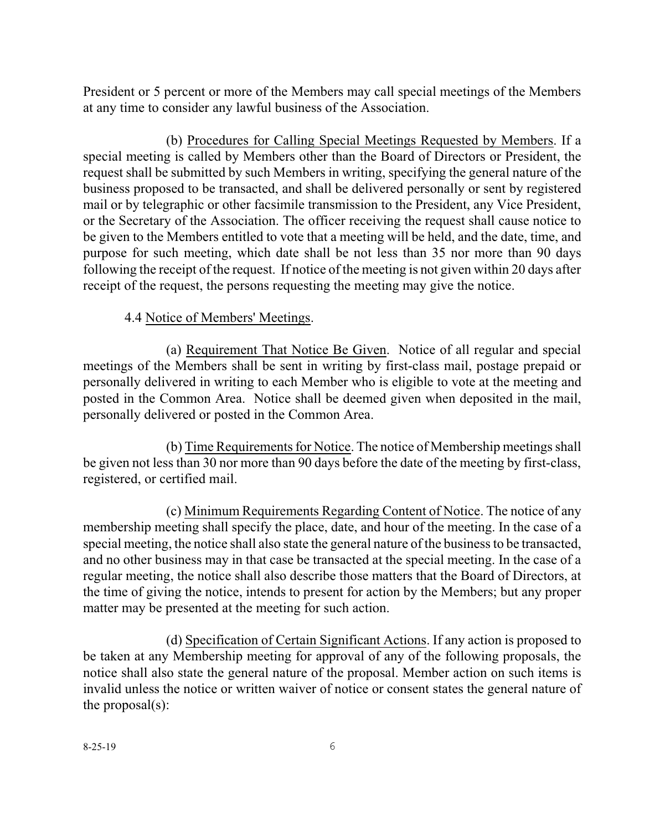President or 5 percent or more of the Members may call special meetings of the Members at any time to consider any lawful business of the Association.

(b) Procedures for Calling Special Meetings Requested by Members. If a special meeting is called by Members other than the Board of Directors or President, the request shall be submitted by such Members in writing, specifying the general nature of the business proposed to be transacted, and shall be delivered personally or sent by registered mail or by telegraphic or other facsimile transmission to the President, any Vice President, or the Secretary of the Association. The officer receiving the request shall cause notice to be given to the Members entitled to vote that a meeting will be held, and the date, time, and purpose for such meeting, which date shall be not less than 35 nor more than 90 days following the receipt of the request. If notice of the meeting is not given within 20 days after receipt of the request, the persons requesting the meeting may give the notice.

## 4.4 Notice of Members' Meetings.

(a) Requirement That Notice Be Given. Notice of all regular and special meetings of the Members shall be sent in writing by first-class mail, postage prepaid or personally delivered in writing to each Member who is eligible to vote at the meeting and posted in the Common Area. Notice shall be deemed given when deposited in the mail, personally delivered or posted in the Common Area.

(b) Time Requirements for Notice. The notice of Membership meetings shall be given not less than 30 nor more than 90 days before the date of the meeting by first-class, registered, or certified mail.

(c) Minimum Requirements Regarding Content of Notice. The notice of any membership meeting shall specify the place, date, and hour of the meeting. In the case of a special meeting, the notice shall also state the general nature of the business to be transacted, and no other business may in that case be transacted at the special meeting. In the case of a regular meeting, the notice shall also describe those matters that the Board of Directors, at the time of giving the notice, intends to present for action by the Members; but any proper matter may be presented at the meeting for such action.

(d) Specification of Certain Significant Actions. If any action is proposed to be taken at any Membership meeting for approval of any of the following proposals, the notice shall also state the general nature of the proposal. Member action on such items is invalid unless the notice or written waiver of notice or consent states the general nature of the proposal(s):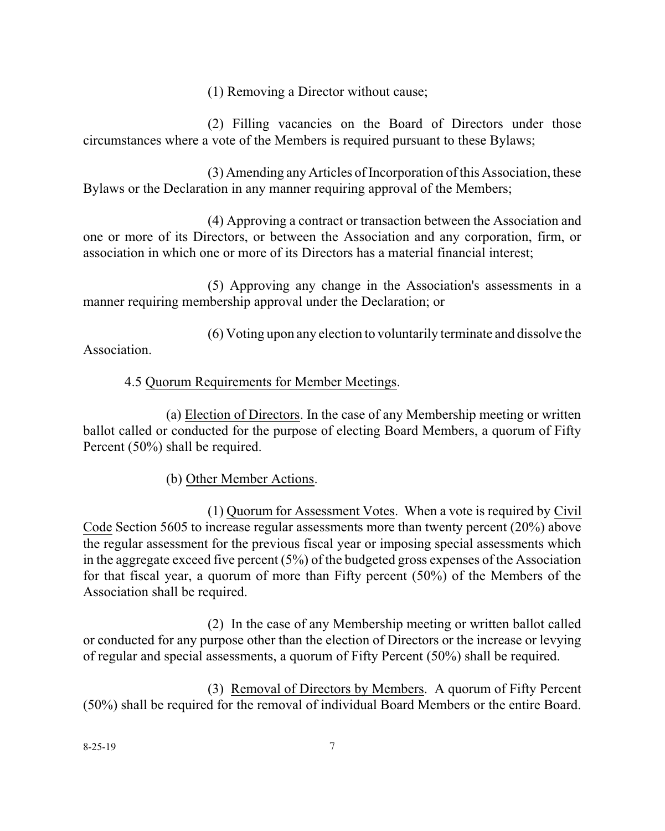(1) Removing a Director without cause;

(2) Filling vacancies on the Board of Directors under those circumstances where a vote of the Members is required pursuant to these Bylaws;

(3) Amending any Articles of Incorporation of this Association, these Bylaws or the Declaration in any manner requiring approval of the Members;

(4) Approving a contract or transaction between the Association and one or more of its Directors, or between the Association and any corporation, firm, or association in which one or more of its Directors has a material financial interest;

(5) Approving any change in the Association's assessments in a manner requiring membership approval under the Declaration; or

(6) Voting upon any election to voluntarily terminate and dissolve the Association.

# 4.5 Quorum Requirements for Member Meetings.

(a) Election of Directors. In the case of any Membership meeting or written ballot called or conducted for the purpose of electing Board Members, a quorum of Fifty Percent (50%) shall be required.

(b) Other Member Actions.

(1) Quorum for Assessment Votes. When a vote is required by Civil Code Section 5605 to increase regular assessments more than twenty percent (20%) above the regular assessment for the previous fiscal year or imposing special assessments which in the aggregate exceed five percent (5%) of the budgeted gross expenses of the Association for that fiscal year, a quorum of more than Fifty percent (50%) of the Members of the Association shall be required.

(2) In the case of any Membership meeting or written ballot called or conducted for any purpose other than the election of Directors or the increase or levying of regular and special assessments, a quorum of Fifty Percent (50%) shall be required.

(3) Removal of Directors by Members. A quorum of Fifty Percent (50%) shall be required for the removal of individual Board Members or the entire Board.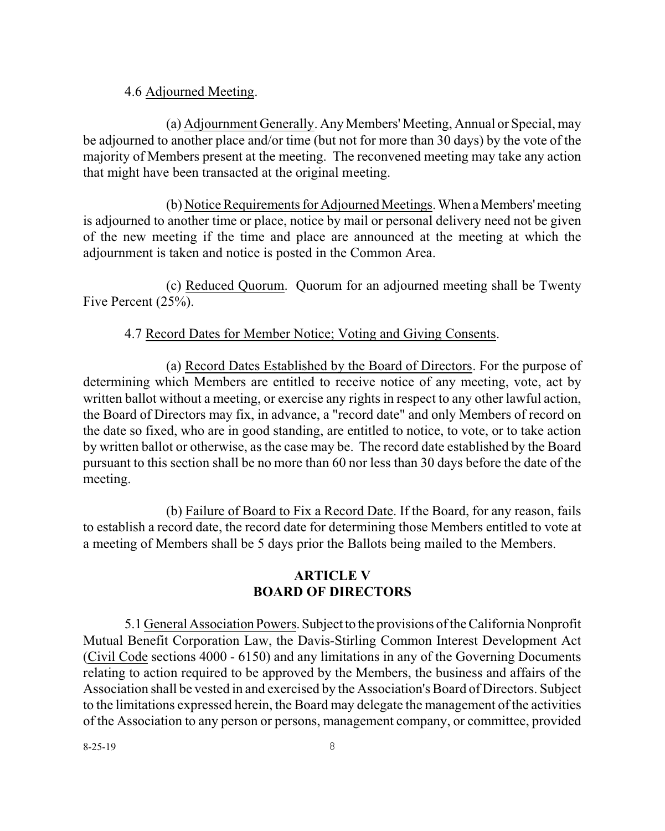#### 4.6 Adjourned Meeting.

(a) Adjournment Generally. Any Members' Meeting, Annual or Special, may be adjourned to another place and/or time (but not for more than 30 days) by the vote of the majority of Members present at the meeting. The reconvened meeting may take any action that might have been transacted at the original meeting.

(b) Notice Requirements for Adjourned Meetings. When a Members' meeting is adjourned to another time or place, notice by mail or personal delivery need not be given of the new meeting if the time and place are announced at the meeting at which the adjournment is taken and notice is posted in the Common Area.

(c) Reduced Quorum. Quorum for an adjourned meeting shall be Twenty Five Percent (25%).

#### 4.7 Record Dates for Member Notice; Voting and Giving Consents.

(a) Record Dates Established by the Board of Directors. For the purpose of determining which Members are entitled to receive notice of any meeting, vote, act by written ballot without a meeting, or exercise any rights in respect to any other lawful action, the Board of Directors may fix, in advance, a "record date" and only Members of record on the date so fixed, who are in good standing, are entitled to notice, to vote, or to take action by written ballot or otherwise, as the case may be. The record date established by the Board pursuant to this section shall be no more than 60 nor less than 30 days before the date of the meeting.

(b) Failure of Board to Fix a Record Date. If the Board, for any reason, fails to establish a record date, the record date for determining those Members entitled to vote at a meeting of Members shall be 5 days prior the Ballots being mailed to the Members.

#### **ARTICLE V BOARD OF DIRECTORS**

5.1 General Association Powers. Subject to the provisions of the California Nonprofit Mutual Benefit Corporation Law, the Davis-Stirling Common Interest Development Act (Civil Code sections 4000 - 6150) and any limitations in any of the Governing Documents relating to action required to be approved by the Members, the business and affairs of the Association shall be vested in and exercised by the Association's Board of Directors. Subject to the limitations expressed herein, the Board may delegate the management of the activities of the Association to any person or persons, management company, or committee, provided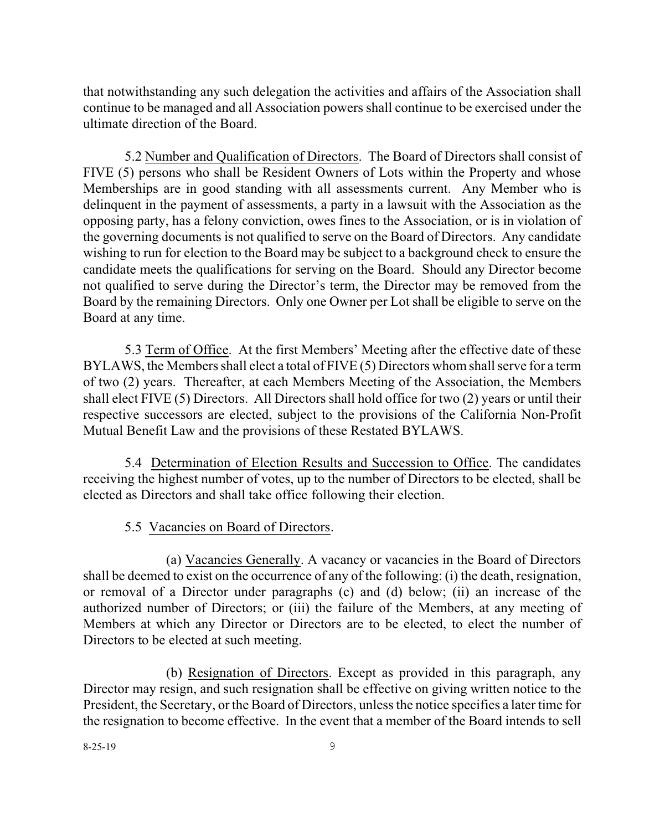that notwithstanding any such delegation the activities and affairs of the Association shall continue to be managed and all Association powers shall continue to be exercised under the ultimate direction of the Board.

5.2 Number and Qualification of Directors. The Board of Directors shall consist of FIVE (5) persons who shall be Resident Owners of Lots within the Property and whose Memberships are in good standing with all assessments current. Any Member who is delinquent in the payment of assessments, a party in a lawsuit with the Association as the opposing party, has a felony conviction, owes fines to the Association, or is in violation of the governing documents is not qualified to serve on the Board of Directors. Any candidate wishing to run for election to the Board may be subject to a background check to ensure the candidate meets the qualifications for serving on the Board. Should any Director become not qualified to serve during the Director's term, the Director may be removed from the Board by the remaining Directors. Only one Owner per Lot shall be eligible to serve on the Board at any time.

5.3 Term of Office. At the first Members' Meeting after the effective date of these BYLAWS, the Members shall elect a total of FIVE (5) Directors whomshall serve for a term of two (2) years. Thereafter, at each Members Meeting of the Association, the Members shall elect FIVE (5) Directors. All Directors shall hold office for two (2) years or until their respective successors are elected, subject to the provisions of the California Non-Profit Mutual Benefit Law and the provisions of these Restated BYLAWS.

5.4 Determination of Election Results and Succession to Office. The candidates receiving the highest number of votes, up to the number of Directors to be elected, shall be elected as Directors and shall take office following their election.

## 5.5 Vacancies on Board of Directors.

(a) Vacancies Generally. A vacancy or vacancies in the Board of Directors shall be deemed to exist on the occurrence of any of the following: (i) the death, resignation, or removal of a Director under paragraphs (c) and (d) below; (ii) an increase of the authorized number of Directors; or (iii) the failure of the Members, at any meeting of Members at which any Director or Directors are to be elected, to elect the number of Directors to be elected at such meeting.

(b) Resignation of Directors. Except as provided in this paragraph, any Director may resign, and such resignation shall be effective on giving written notice to the President, the Secretary, or the Board of Directors, unless the notice specifies a later time for the resignation to become effective. In the event that a member of the Board intends to sell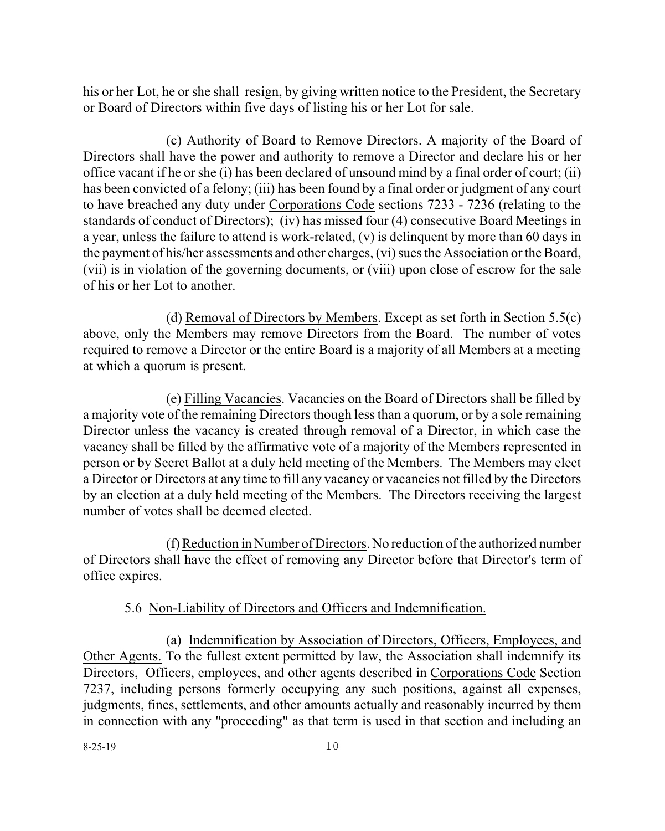his or her Lot, he or she shall resign, by giving written notice to the President, the Secretary or Board of Directors within five days of listing his or her Lot for sale.

(c) Authority of Board to Remove Directors. A majority of the Board of Directors shall have the power and authority to remove a Director and declare his or her office vacant if he or she (i) has been declared of unsound mind by a final order of court; (ii) has been convicted of a felony; (iii) has been found by a final order or judgment of any court to have breached any duty under Corporations Code sections 7233 - 7236 (relating to the standards of conduct of Directors); (iv) has missed four (4) consecutive Board Meetings in a year, unless the failure to attend is work-related, (v) is delinquent by more than 60 days in the payment of his/her assessments and other charges, (vi) sues the Association or the Board, (vii) is in violation of the governing documents, or (viii) upon close of escrow for the sale of his or her Lot to another.

(d) Removal of Directors by Members. Except as set forth in Section 5.5(c) above, only the Members may remove Directors from the Board. The number of votes required to remove a Director or the entire Board is a majority of all Members at a meeting at which a quorum is present.

(e) Filling Vacancies. Vacancies on the Board of Directors shall be filled by a majority vote of the remaining Directors though lessthan a quorum, or by a sole remaining Director unless the vacancy is created through removal of a Director, in which case the vacancy shall be filled by the affirmative vote of a majority of the Members represented in person or by Secret Ballot at a duly held meeting of the Members. The Members may elect a Director or Directors at any time to fill any vacancy or vacancies not filled by the Directors by an election at a duly held meeting of the Members. The Directors receiving the largest number of votes shall be deemed elected.

(f)Reduction in Number of Directors. No reduction ofthe authorized number of Directors shall have the effect of removing any Director before that Director's term of office expires.

## 5.6 Non-Liability of Directors and Officers and Indemnification.

(a) Indemnification by Association of Directors, Officers, Employees, and Other Agents. To the fullest extent permitted by law, the Association shall indemnify its Directors, Officers, employees, and other agents described in Corporations Code Section 7237, including persons formerly occupying any such positions, against all expenses, judgments, fines, settlements, and other amounts actually and reasonably incurred by them in connection with any "proceeding" as that term is used in that section and including an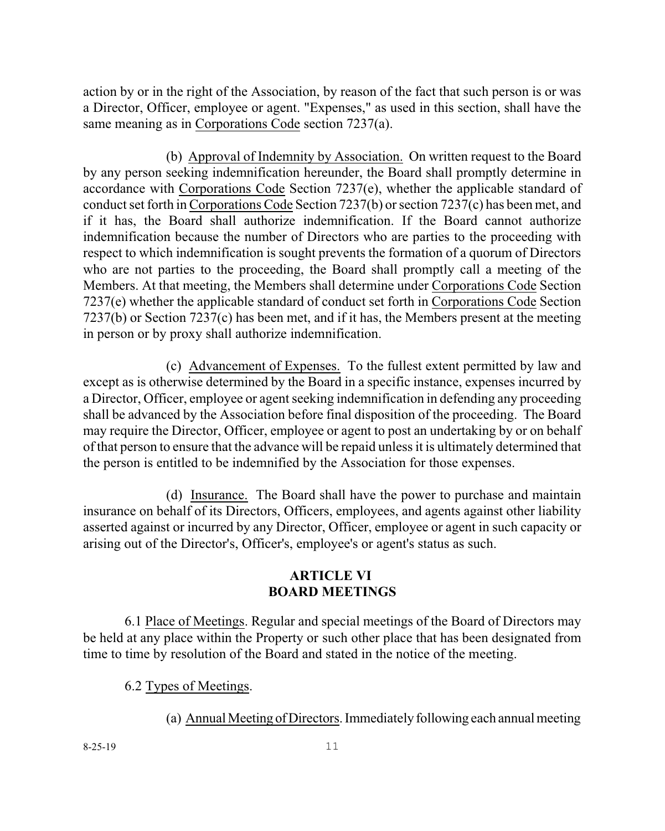action by or in the right of the Association, by reason of the fact that such person is or was a Director, Officer, employee or agent. "Expenses," as used in this section, shall have the same meaning as in Corporations Code section 7237(a).

(b) Approval of Indemnity by Association. On written request to the Board by any person seeking indemnification hereunder, the Board shall promptly determine in accordance with Corporations Code Section 7237(e), whether the applicable standard of conduct set forth in Corporations Code Section 7237(b) or section 7237(c) has been met, and if it has, the Board shall authorize indemnification. If the Board cannot authorize indemnification because the number of Directors who are parties to the proceeding with respect to which indemnification is sought prevents the formation of a quorum of Directors who are not parties to the proceeding, the Board shall promptly call a meeting of the Members. At that meeting, the Members shall determine under Corporations Code Section 7237(e) whether the applicable standard of conduct set forth in Corporations Code Section 7237(b) or Section 7237(c) has been met, and if it has, the Members present at the meeting in person or by proxy shall authorize indemnification.

(c) Advancement of Expenses. To the fullest extent permitted by law and except as is otherwise determined by the Board in a specific instance, expenses incurred by a Director, Officer, employee or agent seeking indemnification in defending any proceeding shall be advanced by the Association before final disposition of the proceeding. The Board may require the Director, Officer, employee or agent to post an undertaking by or on behalf of that person to ensure that the advance will be repaid unless it is ultimately determined that the person is entitled to be indemnified by the Association for those expenses.

(d) Insurance. The Board shall have the power to purchase and maintain insurance on behalf of its Directors, Officers, employees, and agents against other liability asserted against or incurred by any Director, Officer, employee or agent in such capacity or arising out of the Director's, Officer's, employee's or agent's status as such.

### **ARTICLE VI BOARD MEETINGS**

6.1 Place of Meetings. Regular and special meetings of the Board of Directors may be held at any place within the Property or such other place that has been designated from time to time by resolution of the Board and stated in the notice of the meeting.

6.2 Types of Meetings.

(a) Annual Meeting of Directors. Immediately following each annual meeting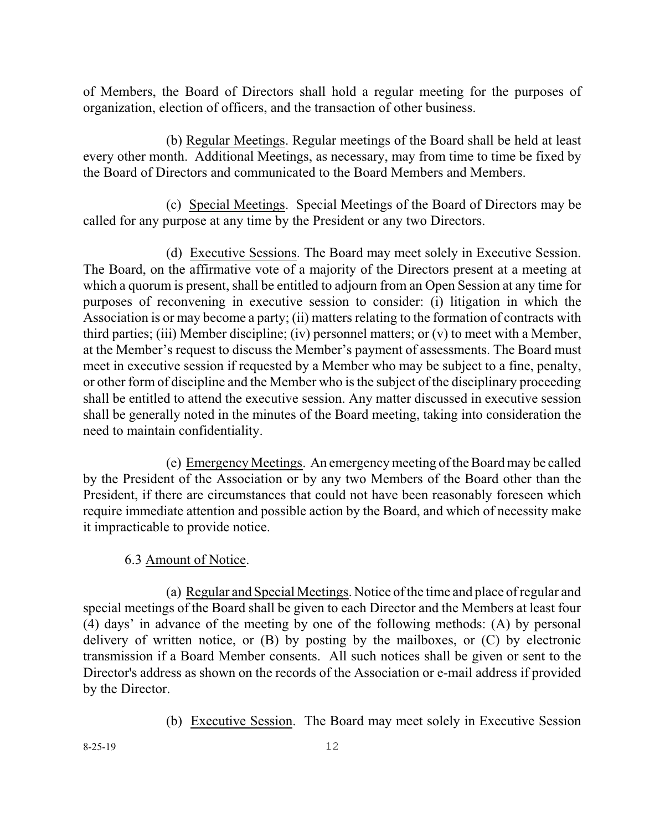of Members, the Board of Directors shall hold a regular meeting for the purposes of organization, election of officers, and the transaction of other business.

(b) Regular Meetings. Regular meetings of the Board shall be held at least every other month. Additional Meetings, as necessary, may from time to time be fixed by the Board of Directors and communicated to the Board Members and Members.

(c) Special Meetings. Special Meetings of the Board of Directors may be called for any purpose at any time by the President or any two Directors.

(d) Executive Sessions. The Board may meet solely in Executive Session. The Board, on the affirmative vote of a majority of the Directors present at a meeting at which a quorum is present, shall be entitled to adjourn from an Open Session at any time for purposes of reconvening in executive session to consider: (i) litigation in which the Association is or may become a party; (ii) matters relating to the formation of contracts with third parties; (iii) Member discipline; (iv) personnel matters; or (v) to meet with a Member, at the Member's request to discuss the Member's payment of assessments. The Board must meet in executive session if requested by a Member who may be subject to a fine, penalty, or other form of discipline and the Member who is the subject of the disciplinary proceeding shall be entitled to attend the executive session. Any matter discussed in executive session shall be generally noted in the minutes of the Board meeting, taking into consideration the need to maintain confidentiality.

(e) Emergency Meetings. An emergency meeting of the Board may be called by the President of the Association or by any two Members of the Board other than the President, if there are circumstances that could not have been reasonably foreseen which require immediate attention and possible action by the Board, and which of necessity make it impracticable to provide notice.

## 6.3 Amount of Notice.

(a) Regular and Special Meetings. Notice of the time and place ofregular and special meetings of the Board shall be given to each Director and the Members at least four (4) days' in advance of the meeting by one of the following methods: (A) by personal delivery of written notice, or (B) by posting by the mailboxes, or (C) by electronic transmission if a Board Member consents. All such notices shall be given or sent to the Director's address as shown on the records of the Association or e-mail address if provided by the Director.

(b) Executive Session. The Board may meet solely in Executive Session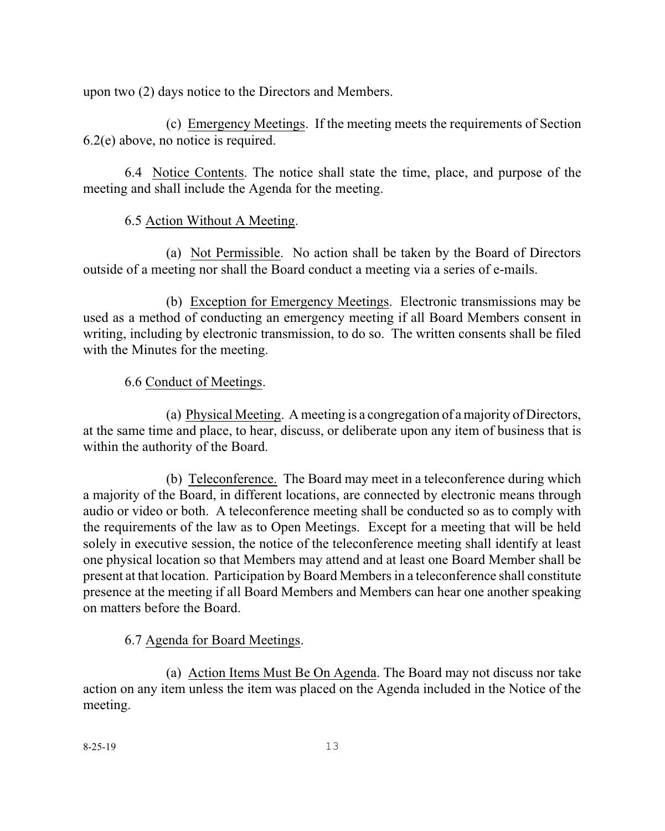upon two (2) days notice to the Directors and Members.

(c) Emergency Meetings. If the meeting meets the requirements of Section 6.2(e) above, no notice is required.

6.4 Notice Contents. The notice shall state the time, place, and purpose of the meeting and shall include the Agenda for the meeting.

# 6.5 Action Without A Meeting.

(a) Not Permissible. No action shall be taken by the Board of Directors outside of a meeting nor shall the Board conduct a meeting via a series of e-mails.

(b) Exception for Emergency Meetings. Electronic transmissions may be used as a method of conducting an emergency meeting if all Board Members consent in writing, including by electronic transmission, to do so. The written consents shall be filed with the Minutes for the meeting.

6.6 Conduct of Meetings.

(a) Physical Meeting. A meeting is a congregation of a majority of Directors, at the same time and place, to hear, discuss, or deliberate upon any item of business that is within the authority of the Board.

(b) Teleconference. The Board may meet in a teleconference during which a majority of the Board, in different locations, are connected by electronic means through audio or video or both. A teleconference meeting shall be conducted so as to comply with the requirements of the law as to Open Meetings. Except for a meeting that will be held solely in executive session, the notice of the teleconference meeting shall identify at least one physical location so that Members may attend and at least one Board Member shall be present at that location. Participation by Board Members in a teleconference shall constitute presence at the meeting if all Board Members and Members can hear one another speaking on matters before the Board.

# 6.7 Agenda for Board Meetings.

(a) Action Items Must Be On Agenda. The Board may not discuss nor take action on any item unless the item was placed on the Agenda included in the Notice of the meeting.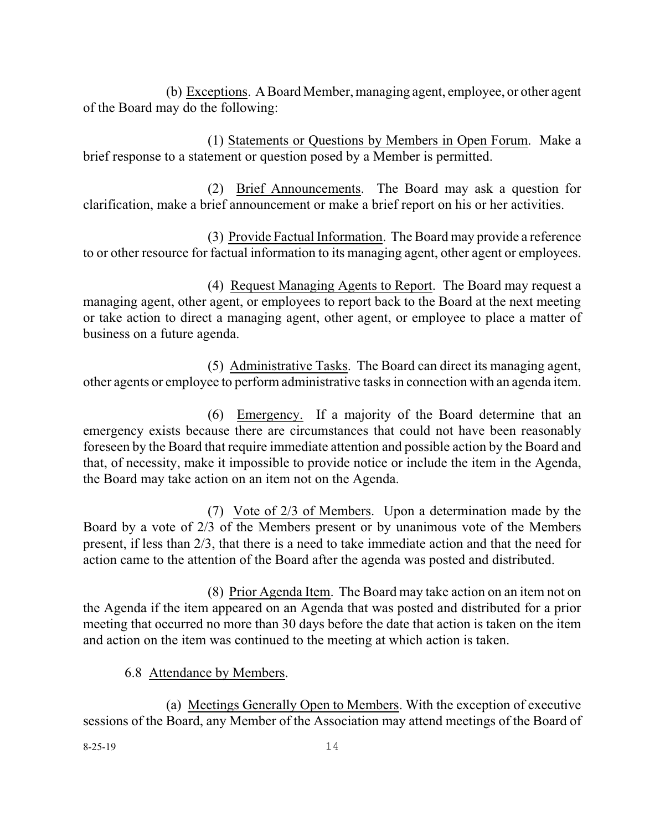(b) Exceptions. A Board Member, managing agent, employee, or other agent of the Board may do the following:

(1) Statements or Questions by Members in Open Forum. Make a brief response to a statement or question posed by a Member is permitted.

(2) Brief Announcements. The Board may ask a question for clarification, make a brief announcement or make a brief report on his or her activities.

(3) Provide Factual Information. The Board may provide a reference to or other resource for factual information to its managing agent, other agent or employees.

(4) Request Managing Agents to Report. The Board may request a managing agent, other agent, or employees to report back to the Board at the next meeting or take action to direct a managing agent, other agent, or employee to place a matter of business on a future agenda.

(5) Administrative Tasks. The Board can direct its managing agent, other agents or employee to perform administrative tasks in connection with an agenda item.

(6) Emergency. If a majority of the Board determine that an emergency exists because there are circumstances that could not have been reasonably foreseen by the Board that require immediate attention and possible action by the Board and that, of necessity, make it impossible to provide notice or include the item in the Agenda, the Board may take action on an item not on the Agenda.

(7) Vote of 2/3 of Members. Upon a determination made by the Board by a vote of 2/3 of the Members present or by unanimous vote of the Members present, if less than 2/3, that there is a need to take immediate action and that the need for action came to the attention of the Board after the agenda was posted and distributed.

(8) Prior Agenda Item. The Board may take action on an item not on the Agenda if the item appeared on an Agenda that was posted and distributed for a prior meeting that occurred no more than 30 days before the date that action is taken on the item and action on the item was continued to the meeting at which action is taken.

## 6.8 Attendance by Members.

(a) Meetings Generally Open to Members. With the exception of executive sessions of the Board, any Member of the Association may attend meetings of the Board of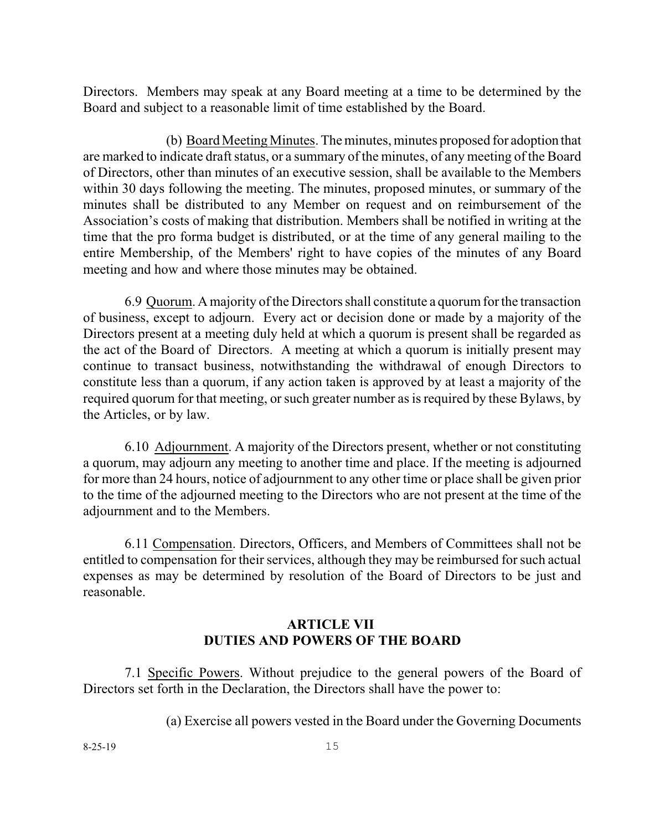Directors. Members may speak at any Board meeting at a time to be determined by the Board and subject to a reasonable limit of time established by the Board.

(b) BoardMeeting Minutes. The minutes, minutes proposed for adoption that are marked to indicate draft status, or a summary of the minutes, of any meeting of the Board of Directors, other than minutes of an executive session, shall be available to the Members within 30 days following the meeting. The minutes, proposed minutes, or summary of the minutes shall be distributed to any Member on request and on reimbursement of the Association's costs of making that distribution. Members shall be notified in writing at the time that the pro forma budget is distributed, or at the time of any general mailing to the entire Membership, of the Members' right to have copies of the minutes of any Board meeting and how and where those minutes may be obtained.

6.9 Quorum. Amajority of the Directors shall constitute a quorumfor the transaction of business, except to adjourn. Every act or decision done or made by a majority of the Directors present at a meeting duly held at which a quorum is present shall be regarded as the act of the Board of Directors. A meeting at which a quorum is initially present may continue to transact business, notwithstanding the withdrawal of enough Directors to constitute less than a quorum, if any action taken is approved by at least a majority of the required quorum for that meeting, or such greater number as isrequired by these Bylaws, by the Articles, or by law.

6.10 Adjournment. A majority of the Directors present, whether or not constituting a quorum, may adjourn any meeting to another time and place. If the meeting is adjourned for more than 24 hours, notice of adjournment to any other time or place shall be given prior to the time of the adjourned meeting to the Directors who are not present at the time of the adjournment and to the Members.

6.11 Compensation. Directors, Officers, and Members of Committees shall not be entitled to compensation for their services, although they may be reimbursed forsuch actual expenses as may be determined by resolution of the Board of Directors to be just and reasonable.

## **ARTICLE VII DUTIES AND POWERS OF THE BOARD**

7.1 Specific Powers. Without prejudice to the general powers of the Board of Directors set forth in the Declaration, the Directors shall have the power to:

(a) Exercise all powers vested in the Board under the Governing Documents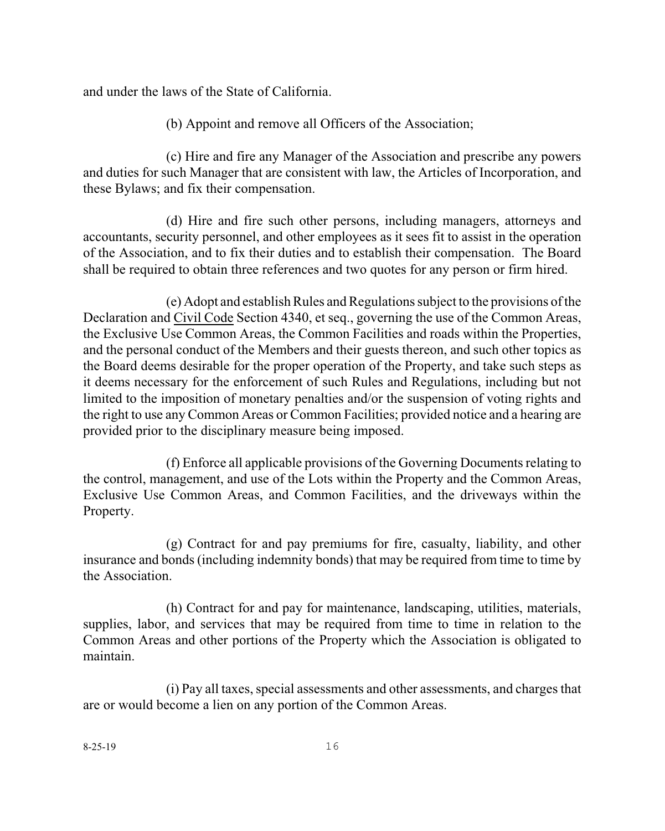and under the laws of the State of California.

(b) Appoint and remove all Officers of the Association;

(c) Hire and fire any Manager of the Association and prescribe any powers and duties for such Manager that are consistent with law, the Articles of Incorporation, and these Bylaws; and fix their compensation.

(d) Hire and fire such other persons, including managers, attorneys and accountants, security personnel, and other employees as it sees fit to assist in the operation of the Association, and to fix their duties and to establish their compensation. The Board shall be required to obtain three references and two quotes for any person or firm hired.

(e) Adopt and establish Rules and Regulations subject to the provisions of the Declaration and Civil Code Section 4340, et seq., governing the use of the Common Areas, the Exclusive Use Common Areas, the Common Facilities and roads within the Properties, and the personal conduct of the Members and their guests thereon, and such other topics as the Board deems desirable for the proper operation of the Property, and take such steps as it deems necessary for the enforcement of such Rules and Regulations, including but not limited to the imposition of monetary penalties and/or the suspension of voting rights and the right to use any Common Areas or Common Facilities; provided notice and a hearing are provided prior to the disciplinary measure being imposed.

(f) Enforce all applicable provisions of the Governing Documents relating to the control, management, and use of the Lots within the Property and the Common Areas, Exclusive Use Common Areas, and Common Facilities, and the driveways within the Property.

(g) Contract for and pay premiums for fire, casualty, liability, and other insurance and bonds (including indemnity bonds) that may be required from time to time by the Association.

(h) Contract for and pay for maintenance, landscaping, utilities, materials, supplies, labor, and services that may be required from time to time in relation to the Common Areas and other portions of the Property which the Association is obligated to maintain.

(i) Pay all taxes, special assessments and other assessments, and charges that are or would become a lien on any portion of the Common Areas.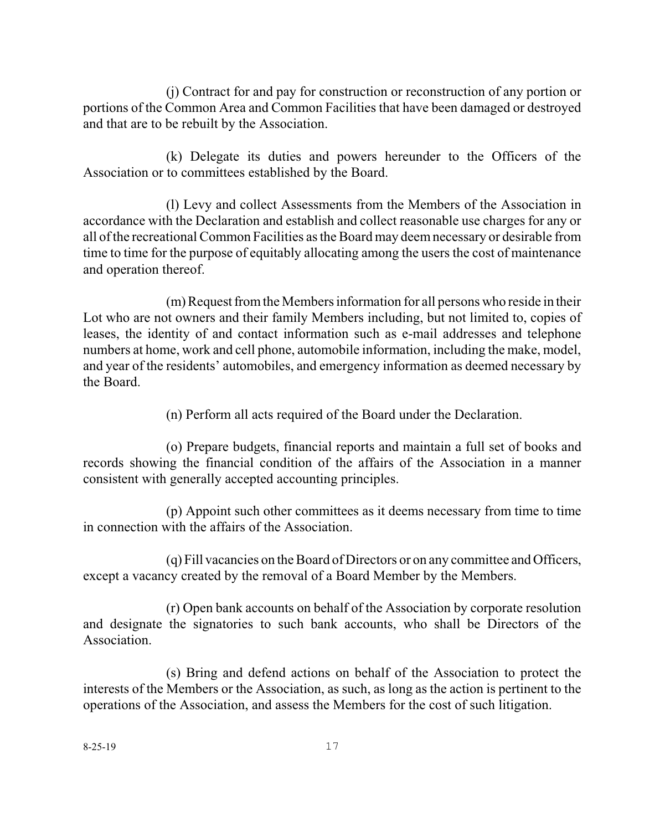(j) Contract for and pay for construction or reconstruction of any portion or portions of the Common Area and Common Facilities that have been damaged or destroyed and that are to be rebuilt by the Association.

(k) Delegate its duties and powers hereunder to the Officers of the Association or to committees established by the Board.

(l) Levy and collect Assessments from the Members of the Association in accordance with the Declaration and establish and collect reasonable use charges for any or all of the recreational Common Facilities as the Board may deemnecessary or desirable from time to time for the purpose of equitably allocating among the users the cost of maintenance and operation thereof.

(m) Request from the Members information for all persons who reside in their Lot who are not owners and their family Members including, but not limited to, copies of leases, the identity of and contact information such as e-mail addresses and telephone numbers at home, work and cell phone, automobile information, including the make, model, and year of the residents' automobiles, and emergency information as deemed necessary by the Board.

(n) Perform all acts required of the Board under the Declaration.

(o) Prepare budgets, financial reports and maintain a full set of books and records showing the financial condition of the affairs of the Association in a manner consistent with generally accepted accounting principles.

(p) Appoint such other committees as it deems necessary from time to time in connection with the affairs of the Association.

(q) Fill vacancies on the Board of Directors or on any committee and Officers, except a vacancy created by the removal of a Board Member by the Members.

(r) Open bank accounts on behalf of the Association by corporate resolution and designate the signatories to such bank accounts, who shall be Directors of the Association.

(s) Bring and defend actions on behalf of the Association to protect the interests of the Members or the Association, as such, as long as the action is pertinent to the operations of the Association, and assess the Members for the cost of such litigation.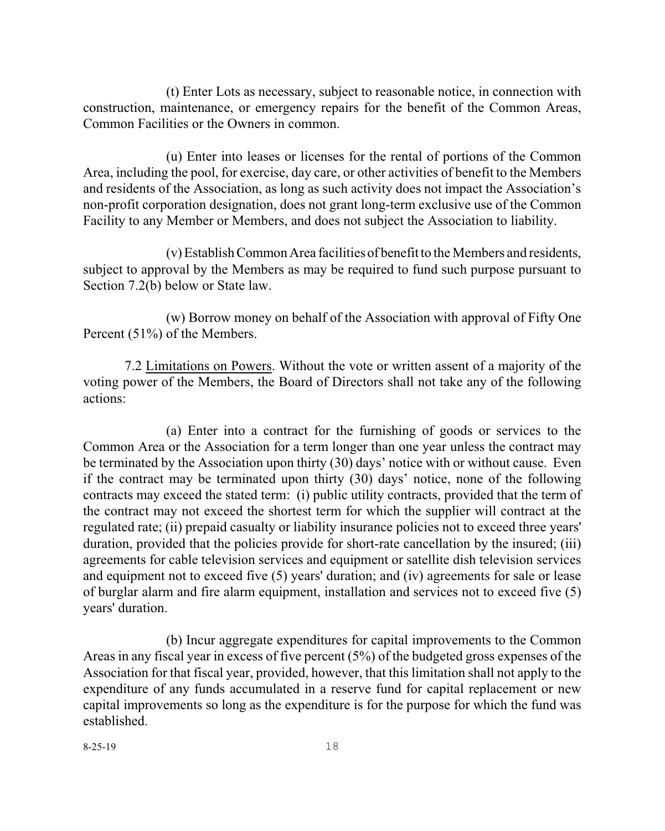(t) Enter Lots as necessary, subject to reasonable notice, in connection with construction, maintenance, or emergency repairs for the benefit of the Common Areas, Common Facilities or the Owners in common.

(u) Enter into leases or licenses for the rental of portions of the Common Area, including the pool, for exercise, day care, or other activities of benefit to the Members and residents of the Association, as long as such activity does not impact the Association's non-profit corporation designation, does not grant long-term exclusive use of the Common Facility to any Member or Members, and does not subject the Association to liability.

(v)EstablishCommon Area facilitiesof benefitto the Members and residents, subject to approval by the Members as may be required to fund such purpose pursuant to Section 7.2(b) below or State law.

(w) Borrow money on behalf of the Association with approval of Fifty One Percent (51%) of the Members.

7.2 Limitations on Powers. Without the vote or written assent of a majority of the voting power of the Members, the Board of Directors shall not take any of the following actions:

(a) Enter into a contract for the furnishing of goods or services to the Common Area or the Association for a term longer than one year unless the contract may be terminated by the Association upon thirty (30) days' notice with or without cause. Even if the contract may be terminated upon thirty (30) days' notice, none of the following contracts may exceed the stated term: (i) public utility contracts, provided that the term of the contract may not exceed the shortest term for which the supplier will contract at the regulated rate; (ii) prepaid casualty or liability insurance policies not to exceed three years' duration, provided that the policies provide for short-rate cancellation by the insured; (iii) agreements for cable television services and equipment or satellite dish television services and equipment not to exceed five (5) years' duration; and (iv) agreements for sale or lease of burglar alarm and fire alarm equipment, installation and services not to exceed five (5) years' duration.

(b) Incur aggregate expenditures for capital improvements to the Common Areas in any fiscal year in excess of five percent  $(5\%)$  of the budgeted gross expenses of the Association for that fiscal year, provided, however, that this limitation shall not apply to the expenditure of any funds accumulated in a reserve fund for capital replacement or new capital improvements so long as the expenditure is for the purpose for which the fund was established.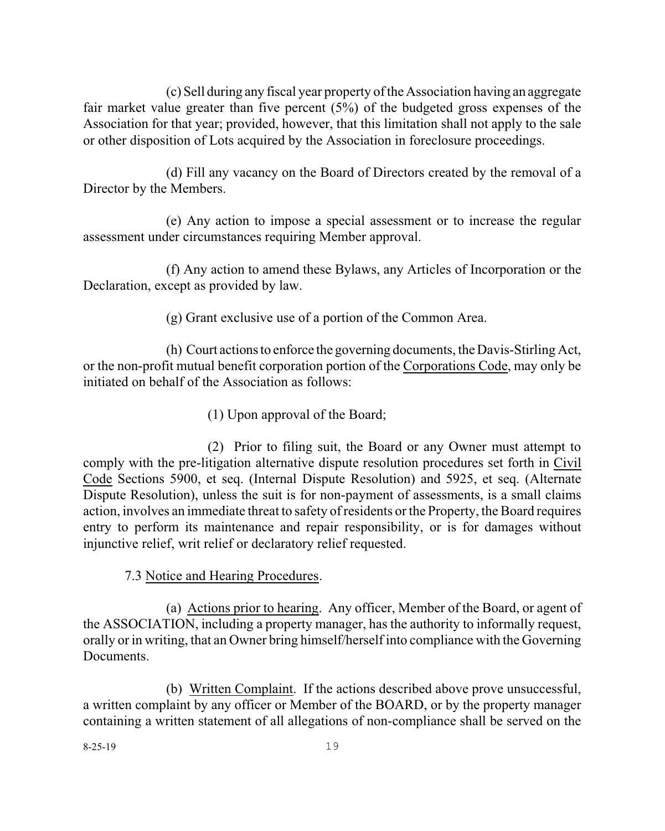(c) Sell during any fiscal year property of the Association having an aggregate fair market value greater than five percent (5%) of the budgeted gross expenses of the Association for that year; provided, however, that this limitation shall not apply to the sale or other disposition of Lots acquired by the Association in foreclosure proceedings.

(d) Fill any vacancy on the Board of Directors created by the removal of a Director by the Members.

(e) Any action to impose a special assessment or to increase the regular assessment under circumstances requiring Member approval.

(f) Any action to amend these Bylaws, any Articles of Incorporation or the Declaration, except as provided by law.

(g) Grant exclusive use of a portion of the Common Area.

(h) Court actionsto enforce the governing documents, the Davis-Stirling Act, or the non-profit mutual benefit corporation portion of the Corporations Code, may only be initiated on behalf of the Association as follows:

(1) Upon approval of the Board;

(2) Prior to filing suit, the Board or any Owner must attempt to comply with the pre-litigation alternative dispute resolution procedures set forth in Civil Code Sections 5900, et seq. (Internal Dispute Resolution) and 5925, et seq. (Alternate Dispute Resolution), unless the suit is for non-payment of assessments, is a small claims action, involves an immediate threat to safety of residents orthe Property, the Board requires entry to perform its maintenance and repair responsibility, or is for damages without injunctive relief, writ relief or declaratory relief requested.

7.3 Notice and Hearing Procedures.

(a) Actions prior to hearing. Any officer, Member of the Board, or agent of the ASSOCIATION, including a property manager, has the authority to informally request, orally or in writing, that an Owner bring himself/herself into compliance with the Governing Documents.

(b) Written Complaint. If the actions described above prove unsuccessful, a written complaint by any officer or Member of the BOARD, or by the property manager containing a written statement of all allegations of non-compliance shall be served on the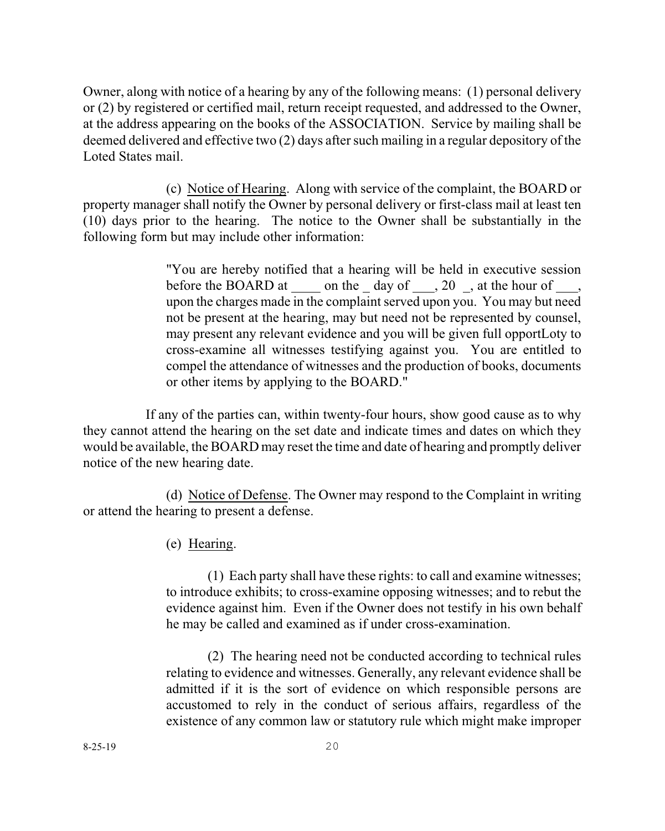Owner, along with notice of a hearing by any of the following means: (1) personal delivery or (2) by registered or certified mail, return receipt requested, and addressed to the Owner, at the address appearing on the books of the ASSOCIATION. Service by mailing shall be deemed delivered and effective two (2) days after such mailing in a regular depository of the Loted States mail.

(c) Notice of Hearing. Along with service of the complaint, the BOARD or property manager shall notify the Owner by personal delivery or first-class mail at least ten (10) days prior to the hearing. The notice to the Owner shall be substantially in the following form but may include other information:

> "You are hereby notified that a hearing will be held in executive session before the BOARD at on the day of , 20, at the hour of , upon the charges made in the complaint served upon you. You may but need not be present at the hearing, may but need not be represented by counsel, may present any relevant evidence and you will be given full opportLoty to cross-examine all witnesses testifying against you. You are entitled to compel the attendance of witnesses and the production of books, documents or other items by applying to the BOARD."

 If any of the parties can, within twenty-four hours, show good cause as to why they cannot attend the hearing on the set date and indicate times and dates on which they would be available, the BOARD may reset the time and date of hearing and promptly deliver notice of the new hearing date.

(d) Notice of Defense. The Owner may respond to the Complaint in writing or attend the hearing to present a defense.

(e) Hearing.

(1) Each party shall have these rights: to call and examine witnesses; to introduce exhibits; to cross-examine opposing witnesses; and to rebut the evidence against him. Even if the Owner does not testify in his own behalf he may be called and examined as if under cross-examination.

(2) The hearing need not be conducted according to technical rules relating to evidence and witnesses. Generally, any relevant evidence shall be admitted if it is the sort of evidence on which responsible persons are accustomed to rely in the conduct of serious affairs, regardless of the existence of any common law or statutory rule which might make improper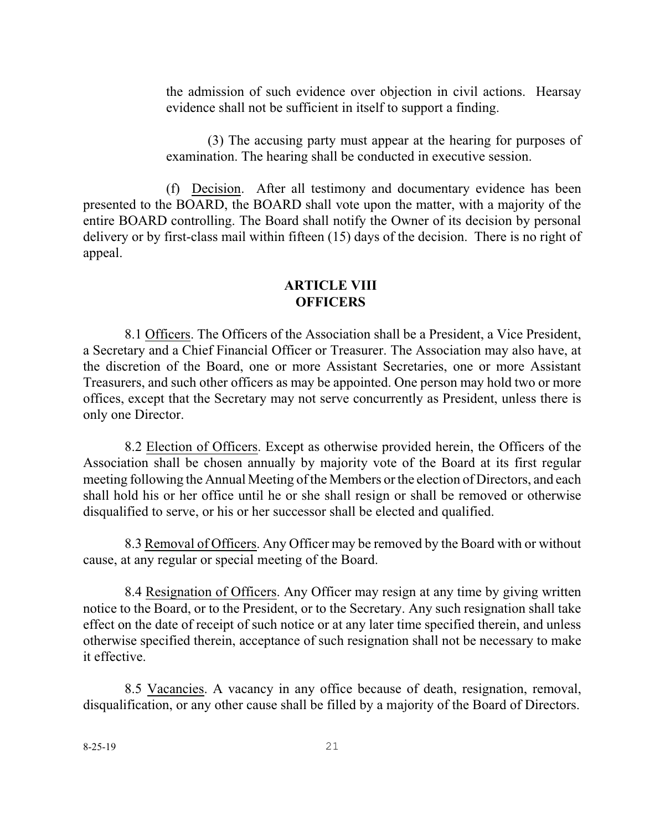the admission of such evidence over objection in civil actions. Hearsay evidence shall not be sufficient in itself to support a finding.

(3) The accusing party must appear at the hearing for purposes of examination. The hearing shall be conducted in executive session.

(f) Decision. After all testimony and documentary evidence has been presented to the BOARD, the BOARD shall vote upon the matter, with a majority of the entire BOARD controlling. The Board shall notify the Owner of its decision by personal delivery or by first-class mail within fifteen (15) days of the decision. There is no right of appeal.

## **ARTICLE VIII OFFICERS**

8.1 Officers. The Officers of the Association shall be a President, a Vice President, a Secretary and a Chief Financial Officer or Treasurer. The Association may also have, at the discretion of the Board, one or more Assistant Secretaries, one or more Assistant Treasurers, and such other officers as may be appointed. One person may hold two or more offices, except that the Secretary may not serve concurrently as President, unless there is only one Director.

8.2 Election of Officers. Except as otherwise provided herein, the Officers of the Association shall be chosen annually by majority vote of the Board at its first regular meeting following the Annual Meeting of the Members orthe election of Directors, and each shall hold his or her office until he or she shall resign or shall be removed or otherwise disqualified to serve, or his or her successor shall be elected and qualified.

8.3 Removal of Officers. Any Officer may be removed by the Board with or without cause, at any regular or special meeting of the Board.

8.4 Resignation of Officers. Any Officer may resign at any time by giving written notice to the Board, or to the President, or to the Secretary. Any such resignation shall take effect on the date of receipt of such notice or at any later time specified therein, and unless otherwise specified therein, acceptance of such resignation shall not be necessary to make it effective.

8.5 Vacancies. A vacancy in any office because of death, resignation, removal, disqualification, or any other cause shall be filled by a majority of the Board of Directors.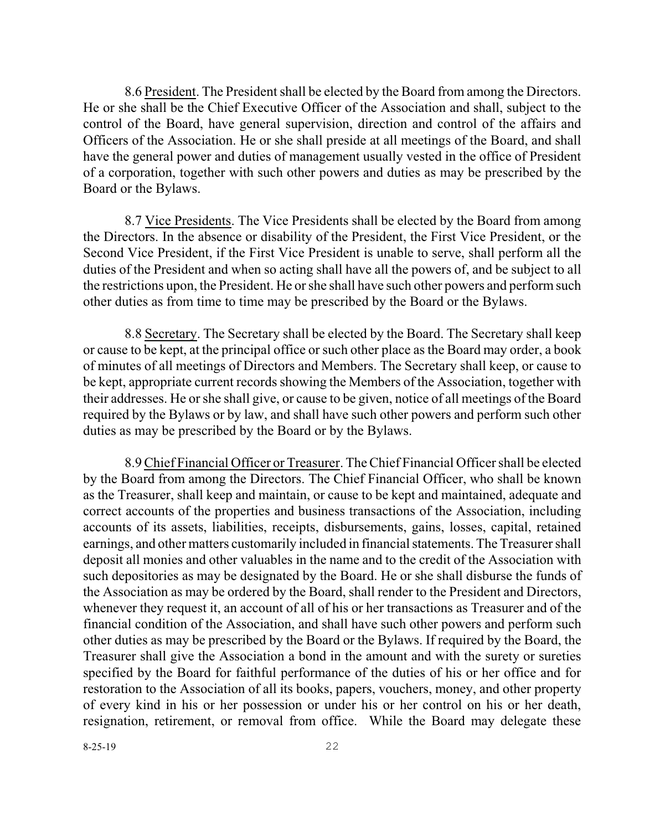8.6 President. The President shall be elected by the Board from among the Directors. He or she shall be the Chief Executive Officer of the Association and shall, subject to the control of the Board, have general supervision, direction and control of the affairs and Officers of the Association. He or she shall preside at all meetings of the Board, and shall have the general power and duties of management usually vested in the office of President of a corporation, together with such other powers and duties as may be prescribed by the Board or the Bylaws.

8.7 Vice Presidents. The Vice Presidents shall be elected by the Board from among the Directors. In the absence or disability of the President, the First Vice President, or the Second Vice President, if the First Vice President is unable to serve, shall perform all the duties of the President and when so acting shall have all the powers of, and be subject to all the restrictions upon, the President. He or she shall have such other powers and performsuch other duties as from time to time may be prescribed by the Board or the Bylaws.

8.8 Secretary. The Secretary shall be elected by the Board. The Secretary shall keep or cause to be kept, at the principal office or such other place as the Board may order, a book of minutes of all meetings of Directors and Members. The Secretary shall keep, or cause to be kept, appropriate current records showing the Members of the Association, together with their addresses. He or she shall give, or cause to be given, notice of all meetings of the Board required by the Bylaws or by law, and shall have such other powers and perform such other duties as may be prescribed by the Board or by the Bylaws.

8.9Chief Financial Officer or Treasurer. The Chief Financial Officer shall be elected by the Board from among the Directors. The Chief Financial Officer, who shall be known as the Treasurer, shall keep and maintain, or cause to be kept and maintained, adequate and correct accounts of the properties and business transactions of the Association, including accounts of its assets, liabilities, receipts, disbursements, gains, losses, capital, retained earnings, and other matters customarily included in financial statements. The Treasurer shall deposit all monies and other valuables in the name and to the credit of the Association with such depositories as may be designated by the Board. He or she shall disburse the funds of the Association as may be ordered by the Board, shall render to the President and Directors, whenever they request it, an account of all of his or her transactions as Treasurer and of the financial condition of the Association, and shall have such other powers and perform such other duties as may be prescribed by the Board or the Bylaws. If required by the Board, the Treasurer shall give the Association a bond in the amount and with the surety or sureties specified by the Board for faithful performance of the duties of his or her office and for restoration to the Association of all its books, papers, vouchers, money, and other property of every kind in his or her possession or under his or her control on his or her death, resignation, retirement, or removal from office. While the Board may delegate these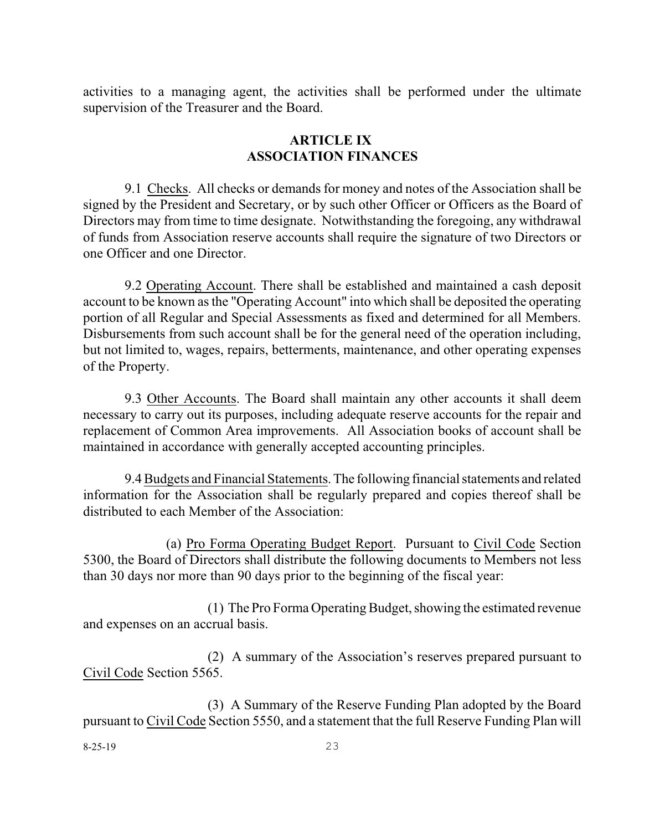activities to a managing agent, the activities shall be performed under the ultimate supervision of the Treasurer and the Board.

## **ARTICLE IX ASSOCIATION FINANCES**

9.1 Checks. All checks or demands for money and notes of the Association shall be signed by the President and Secretary, or by such other Officer or Officers as the Board of Directors may from time to time designate. Notwithstanding the foregoing, any withdrawal of funds from Association reserve accounts shall require the signature of two Directors or one Officer and one Director.

9.2 Operating Account. There shall be established and maintained a cash deposit account to be known as the "Operating Account" into which shall be deposited the operating portion of all Regular and Special Assessments as fixed and determined for all Members. Disbursements from such account shall be for the general need of the operation including, but not limited to, wages, repairs, betterments, maintenance, and other operating expenses of the Property.

9.3 Other Accounts. The Board shall maintain any other accounts it shall deem necessary to carry out its purposes, including adequate reserve accounts for the repair and replacement of Common Area improvements. All Association books of account shall be maintained in accordance with generally accepted accounting principles.

9.4Budgets and Financial Statements.The following financialstatements and related information for the Association shall be regularly prepared and copies thereof shall be distributed to each Member of the Association:

(a) Pro Forma Operating Budget Report. Pursuant to Civil Code Section 5300, the Board of Directors shall distribute the following documents to Members not less than 30 days nor more than 90 days prior to the beginning of the fiscal year:

(1) The Pro Forma Operating Budget, showing the estimated revenue and expenses on an accrual basis.

(2) A summary of the Association's reserves prepared pursuant to Civil Code Section 5565.

(3) A Summary of the Reserve Funding Plan adopted by the Board pursuant to Civil Code Section 5550, and a statement that the full Reserve Funding Plan will

8-25-19 23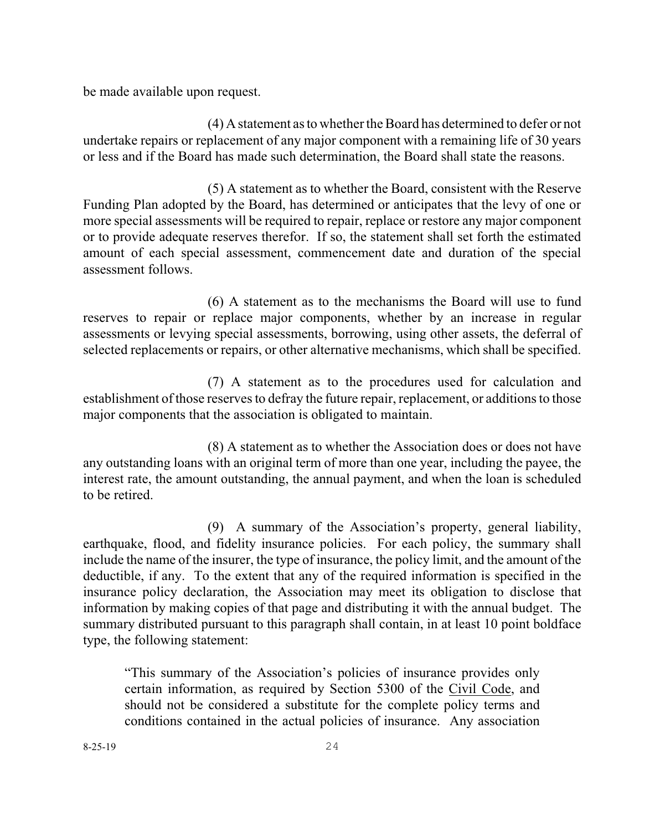be made available upon request.

(4) Astatement as to whether theBoard has determined to defer or not undertake repairs or replacement of any major component with a remaining life of 30 years or less and if the Board has made such determination, the Board shall state the reasons.

(5) A statement as to whether the Board, consistent with the Reserve Funding Plan adopted by the Board, has determined or anticipates that the levy of one or more special assessments will be required to repair, replace or restore any major component or to provide adequate reserves therefor. If so, the statement shall set forth the estimated amount of each special assessment, commencement date and duration of the special assessment follows.

(6) A statement as to the mechanisms the Board will use to fund reserves to repair or replace major components, whether by an increase in regular assessments or levying special assessments, borrowing, using other assets, the deferral of selected replacements or repairs, or other alternative mechanisms, which shall be specified.

(7) A statement as to the procedures used for calculation and establishment of those reserves to defray the future repair, replacement, or additions to those major components that the association is obligated to maintain.

(8) A statement as to whether the Association does or does not have any outstanding loans with an original term of more than one year, including the payee, the interest rate, the amount outstanding, the annual payment, and when the loan is scheduled to be retired.

(9) A summary of the Association's property, general liability, earthquake, flood, and fidelity insurance policies. For each policy, the summary shall include the name of the insurer, the type of insurance, the policy limit, and the amount of the deductible, if any. To the extent that any of the required information is specified in the insurance policy declaration, the Association may meet its obligation to disclose that information by making copies of that page and distributing it with the annual budget. The summary distributed pursuant to this paragraph shall contain, in at least 10 point boldface type, the following statement:

"This summary of the Association's policies of insurance provides only certain information, as required by Section 5300 of the Civil Code, and should not be considered a substitute for the complete policy terms and conditions contained in the actual policies of insurance. Any association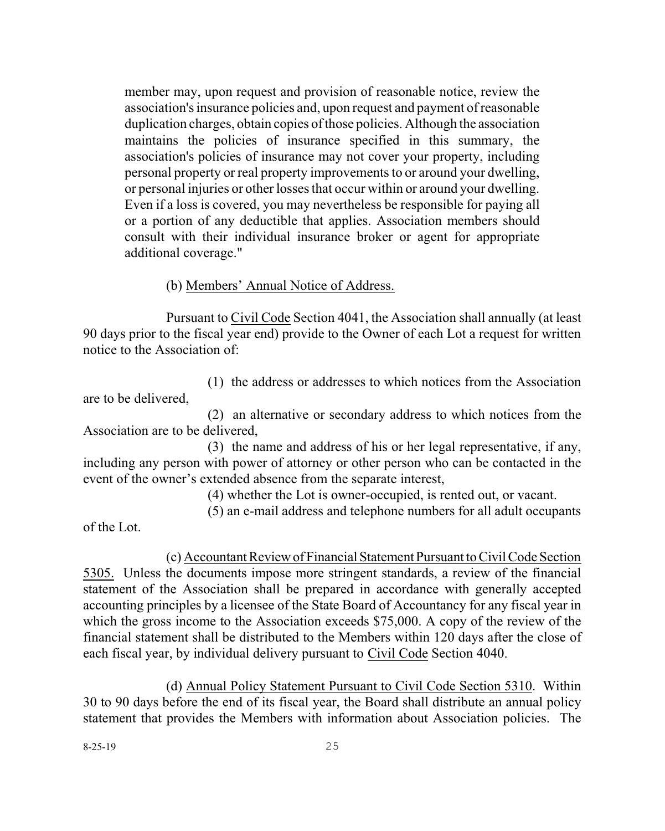member may, upon request and provision of reasonable notice, review the association's insurance policies and, upon request and payment of reasonable duplication charges, obtain copies of those policies. Although the association maintains the policies of insurance specified in this summary, the association's policies of insurance may not cover your property, including personal property or real property improvements to or around your dwelling, or personal injuries or other losses that occur within or around your dwelling. Even if a loss is covered, you may nevertheless be responsible for paying all or a portion of any deductible that applies. Association members should consult with their individual insurance broker or agent for appropriate additional coverage."

### (b) Members' Annual Notice of Address.

Pursuant to Civil Code Section 4041, the Association shall annually (at least 90 days prior to the fiscal year end) provide to the Owner of each Lot a request for written notice to the Association of:

(1) the address or addresses to which notices from the Association are to be delivered,

(2) an alternative or secondary address to which notices from the Association are to be delivered,

(3) the name and address of his or her legal representative, if any, including any person with power of attorney or other person who can be contacted in the event of the owner's extended absence from the separate interest,

(4) whether the Lot is owner-occupied, is rented out, or vacant.

(5) an e-mail address and telephone numbers for all adult occupants

of the Lot.

(c) Accountant Review of Financial Statement Pursuant to Civil Code Section 5305. Unless the documents impose more stringent standards, a review of the financial statement of the Association shall be prepared in accordance with generally accepted accounting principles by a licensee of the State Board of Accountancy for any fiscal year in which the gross income to the Association exceeds \$75,000. A copy of the review of the financial statement shall be distributed to the Members within 120 days after the close of each fiscal year, by individual delivery pursuant to Civil Code Section 4040.

(d) Annual Policy Statement Pursuant to Civil Code Section 5310. Within 30 to 90 days before the end of its fiscal year, the Board shall distribute an annual policy statement that provides the Members with information about Association policies. The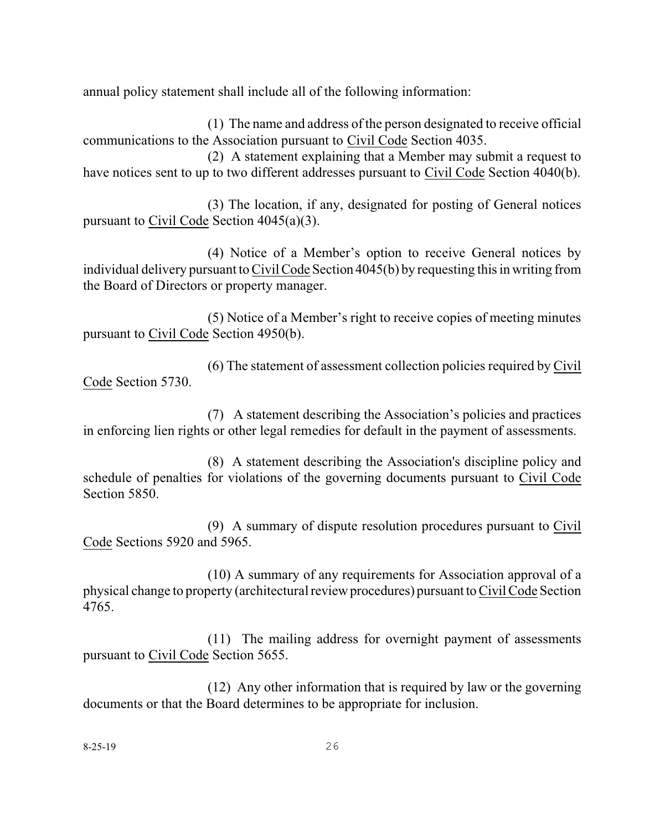annual policy statement shall include all of the following information:

(1) The name and address of the person designated to receive official communications to the Association pursuant to Civil Code Section 4035.

(2) A statement explaining that a Member may submit a request to have notices sent to up to two different addresses pursuant to Civil Code Section 4040(b).

(3) The location, if any, designated for posting of General notices pursuant to Civil Code Section 4045(a)(3).

(4) Notice of a Member's option to receive General notices by individual delivery pursuant to Civil Code Section 4045(b) by requesting this in writing from the Board of Directors or property manager.

(5) Notice of a Member's right to receive copies of meeting minutes pursuant to Civil Code Section 4950(b).

(6) The statement of assessment collection policies required by Civil Code Section 5730.

(7) A statement describing the Association's policies and practices in enforcing lien rights or other legal remedies for default in the payment of assessments.

(8) A statement describing the Association's discipline policy and schedule of penalties for violations of the governing documents pursuant to Civil Code Section 5850.

(9) A summary of dispute resolution procedures pursuant to Civil Code Sections 5920 and 5965.

(10) A summary of any requirements for Association approval of a physical change to property (architecturalreviewprocedures) pursuant toCivil Code Section 4765.

(11) The mailing address for overnight payment of assessments pursuant to Civil Code Section 5655.

(12) Any other information that is required by law or the governing documents or that the Board determines to be appropriate for inclusion.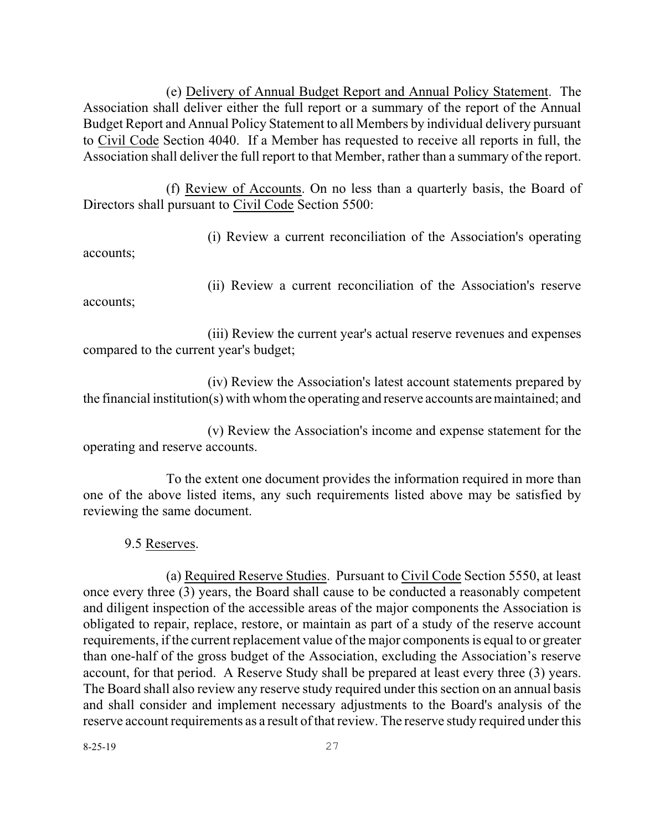(e) Delivery of Annual Budget Report and Annual Policy Statement. The Association shall deliver either the full report or a summary of the report of the Annual Budget Report and Annual Policy Statement to all Members by individual delivery pursuant to Civil Code Section 4040. If a Member has requested to receive all reports in full, the Association shall deliver the full report to that Member, rather than a summary of the report.

(f) Review of Accounts. On no less than a quarterly basis, the Board of Directors shall pursuant to Civil Code Section 5500:

(i) Review a current reconciliation of the Association's operating

accounts;

accounts;

(ii) Review a current reconciliation of the Association's reserve

(iii) Review the current year's actual reserve revenues and expenses compared to the current year's budget;

(iv) Review the Association's latest account statements prepared by the financial institution(s) with whomthe operating and reserve accounts aremaintained; and

(v) Review the Association's income and expense statement for the operating and reserve accounts.

To the extent one document provides the information required in more than one of the above listed items, any such requirements listed above may be satisfied by reviewing the same document.

9.5 Reserves.

(a) Required Reserve Studies. Pursuant to Civil Code Section 5550, at least once every three (3) years, the Board shall cause to be conducted a reasonably competent and diligent inspection of the accessible areas of the major components the Association is obligated to repair, replace, restore, or maintain as part of a study of the reserve account requirements, if the current replacement value of the major components is equal to or greater than one-half of the gross budget of the Association, excluding the Association's reserve account, for that period. A Reserve Study shall be prepared at least every three (3) years. The Board shall also review any reserve study required under this section on an annual basis and shall consider and implement necessary adjustments to the Board's analysis of the reserve account requirements as a result of that review. The reserve study required underthis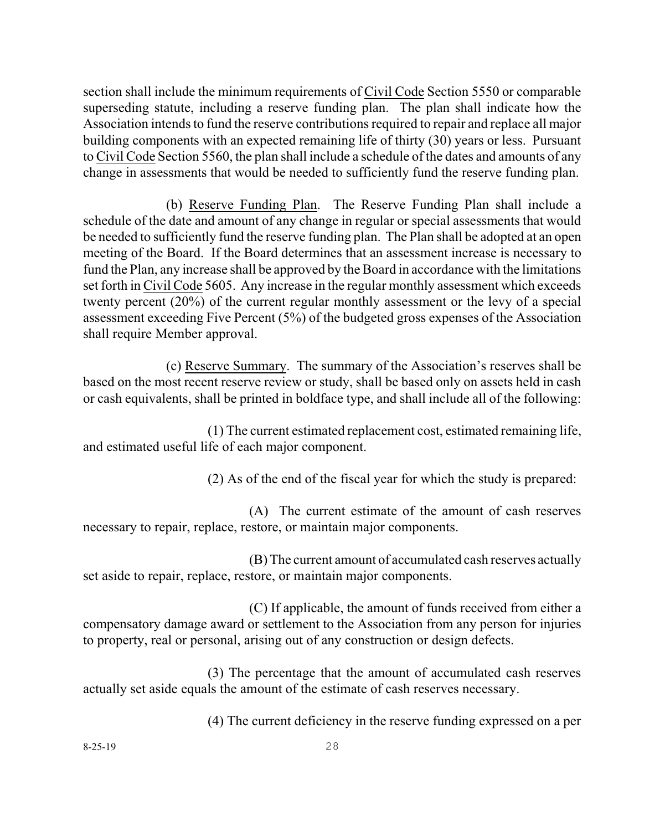section shall include the minimum requirements of Civil Code Section 5550 or comparable superseding statute, including a reserve funding plan. The plan shall indicate how the Association intends to fund the reserve contributions required to repair and replace all major building components with an expected remaining life of thirty (30) years or less. Pursuant to Civil Code Section 5560, the plan shall include a schedule of the dates and amounts of any change in assessments that would be needed to sufficiently fund the reserve funding plan.

(b) Reserve Funding Plan. The Reserve Funding Plan shall include a schedule of the date and amount of any change in regular or special assessments that would be needed to sufficiently fund the reserve funding plan. The Plan shall be adopted at an open meeting of the Board. If the Board determines that an assessment increase is necessary to fund the Plan, any increase shall be approved by the Board in accordance with the limitations set forth in Civil Code 5605. Any increase in the regular monthly assessment which exceeds twenty percent (20%) of the current regular monthly assessment or the levy of a special assessment exceeding Five Percent (5%) of the budgeted gross expenses of the Association shall require Member approval.

(c) Reserve Summary. The summary of the Association's reserves shall be based on the most recent reserve review or study, shall be based only on assets held in cash or cash equivalents, shall be printed in boldface type, and shall include all of the following:

(1) The current estimated replacement cost, estimated remaining life, and estimated useful life of each major component.

(2) As of the end of the fiscal year for which the study is prepared:

(A) The current estimate of the amount of cash reserves necessary to repair, replace, restore, or maintain major components.

(B)The current amount of accumulated cash reserves actually set aside to repair, replace, restore, or maintain major components.

(C) If applicable, the amount of funds received from either a compensatory damage award or settlement to the Association from any person for injuries to property, real or personal, arising out of any construction or design defects.

(3) The percentage that the amount of accumulated cash reserves actually set aside equals the amount of the estimate of cash reserves necessary.

(4) The current deficiency in the reserve funding expressed on a per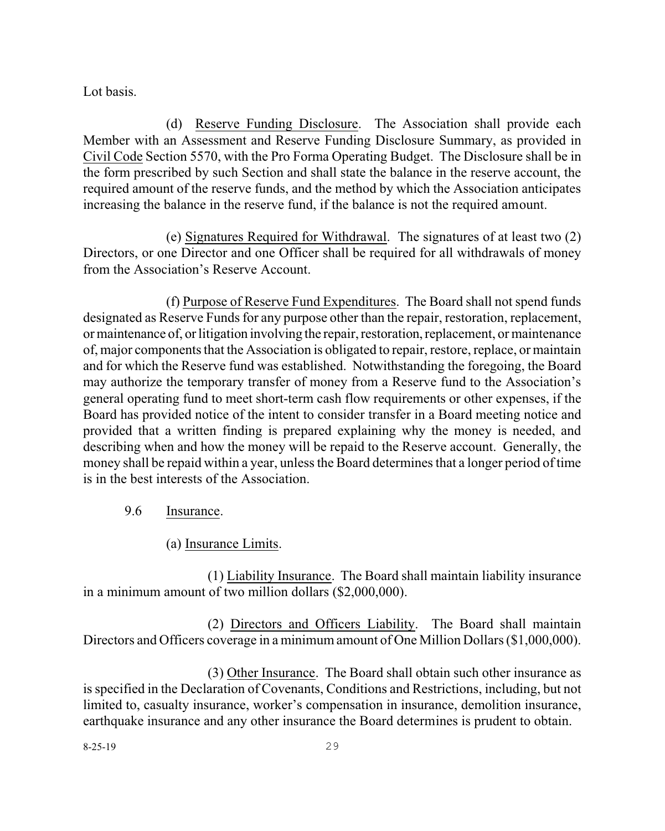Lot basis.

(d) Reserve Funding Disclosure. The Association shall provide each Member with an Assessment and Reserve Funding Disclosure Summary, as provided in Civil Code Section 5570, with the Pro Forma Operating Budget. The Disclosure shall be in the form prescribed by such Section and shall state the balance in the reserve account, the required amount of the reserve funds, and the method by which the Association anticipates increasing the balance in the reserve fund, if the balance is not the required amount.

(e) Signatures Required for Withdrawal. The signatures of at least two (2) Directors, or one Director and one Officer shall be required for all withdrawals of money from the Association's Reserve Account.

(f) Purpose of Reserve Fund Expenditures. The Board shall not spend funds designated as Reserve Funds for any purpose other than the repair, restoration, replacement, or maintenance of, or litigation involving the repair, restoration, replacement, or maintenance of, major components that the Association is obligated to repair, restore, replace, or maintain and for which the Reserve fund was established. Notwithstanding the foregoing, the Board may authorize the temporary transfer of money from a Reserve fund to the Association's general operating fund to meet short-term cash flow requirements or other expenses, if the Board has provided notice of the intent to consider transfer in a Board meeting notice and provided that a written finding is prepared explaining why the money is needed, and describing when and how the money will be repaid to the Reserve account. Generally, the money shall be repaid within a year, unless the Board determines that a longer period of time is in the best interests of the Association.

- 9.6 Insurance.
	- (a) Insurance Limits.

(1) Liability Insurance. The Board shall maintain liability insurance in a minimum amount of two million dollars (\$2,000,000).

(2) Directors and Officers Liability. The Board shall maintain Directors and Officers coverage in a minimum amount of One Million Dollars (\$1,000,000).

(3) Other Insurance. The Board shall obtain such other insurance as isspecified in the Declaration of Covenants, Conditions and Restrictions, including, but not limited to, casualty insurance, worker's compensation in insurance, demolition insurance, earthquake insurance and any other insurance the Board determines is prudent to obtain.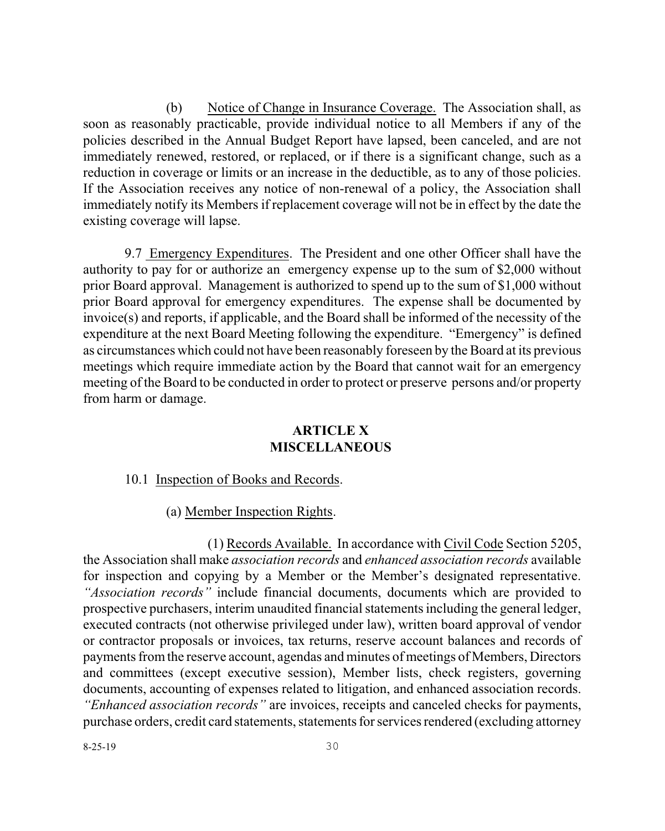(b) Notice of Change in Insurance Coverage. The Association shall, as soon as reasonably practicable, provide individual notice to all Members if any of the policies described in the Annual Budget Report have lapsed, been canceled, and are not immediately renewed, restored, or replaced, or if there is a significant change, such as a reduction in coverage or limits or an increase in the deductible, as to any of those policies. If the Association receives any notice of non-renewal of a policy, the Association shall immediately notify its Members if replacement coverage will not be in effect by the date the existing coverage will lapse.

9.7 Emergency Expenditures. The President and one other Officer shall have the authority to pay for or authorize an emergency expense up to the sum of \$2,000 without prior Board approval. Management is authorized to spend up to the sum of \$1,000 without prior Board approval for emergency expenditures. The expense shall be documented by invoice(s) and reports, if applicable, and the Board shall be informed of the necessity of the expenditure at the next Board Meeting following the expenditure. "Emergency" is defined as circumstances which could not have been reasonably foreseen by the Board at its previous meetings which require immediate action by the Board that cannot wait for an emergency meeting of the Board to be conducted in order to protect or preserve persons and/or property from harm or damage.

#### **ARTICLE X MISCELLANEOUS**

#### 10.1 Inspection of Books and Records.

(a) Member Inspection Rights.

(1) Records Available. In accordance with Civil Code Section 5205, the Association shall make *association records* and *enhanced association records* available for inspection and copying by a Member or the Member's designated representative. *"Association records"* include financial documents, documents which are provided to prospective purchasers, interim unaudited financial statementsincluding the general ledger, executed contracts (not otherwise privileged under law), written board approval of vendor or contractor proposals or invoices, tax returns, reserve account balances and records of payments from the reserve account, agendas and minutes of meetings of Members, Directors and committees (except executive session), Member lists, check registers, governing documents, accounting of expenses related to litigation, and enhanced association records. *"Enhanced association records"* are invoices, receipts and canceled checks for payments, purchase orders, credit card statements, statements for services rendered (excluding attorney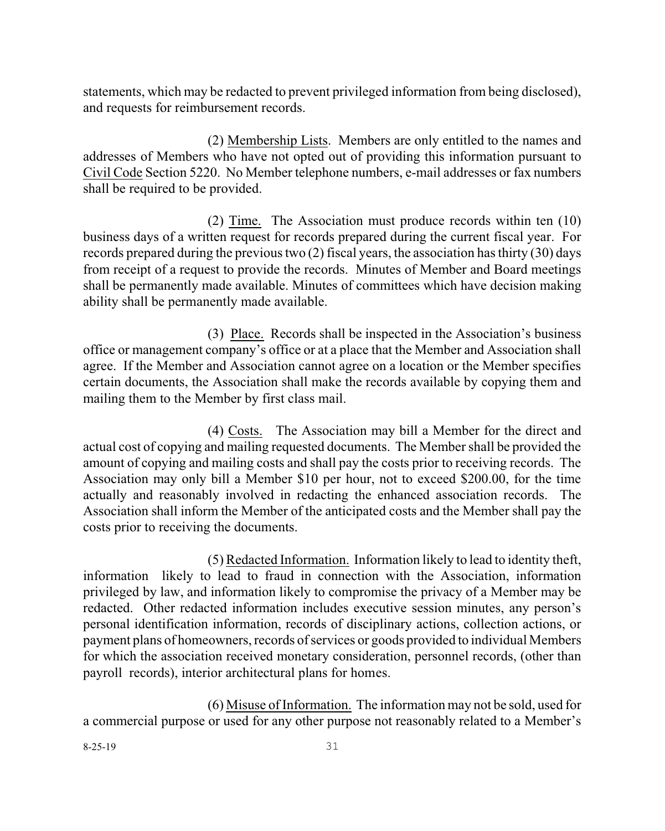statements, which may be redacted to prevent privileged information from being disclosed), and requests for reimbursement records.

(2) Membership Lists. Members are only entitled to the names and addresses of Members who have not opted out of providing this information pursuant to Civil Code Section 5220. No Member telephone numbers, e-mail addresses or fax numbers shall be required to be provided.

(2) Time. The Association must produce records within ten (10) business days of a written request for records prepared during the current fiscal year. For records prepared during the previous two  $(2)$  fiscal years, the association has thirty  $(30)$  days from receipt of a request to provide the records. Minutes of Member and Board meetings shall be permanently made available. Minutes of committees which have decision making ability shall be permanently made available.

(3) Place. Records shall be inspected in the Association's business office or management company's office or at a place that the Member and Association shall agree. If the Member and Association cannot agree on a location or the Member specifies certain documents, the Association shall make the records available by copying them and mailing them to the Member by first class mail.

(4) Costs. The Association may bill a Member for the direct and actual cost of copying and mailing requested documents. The Member shall be provided the amount of copying and mailing costs and shall pay the costs prior to receiving records. The Association may only bill a Member \$10 per hour, not to exceed \$200.00, for the time actually and reasonably involved in redacting the enhanced association records. The Association shall inform the Member of the anticipated costs and the Member shall pay the costs prior to receiving the documents.

(5) Redacted Information. Information likely to lead to identity theft, information likely to lead to fraud in connection with the Association, information privileged by law, and information likely to compromise the privacy of a Member may be redacted. Other redacted information includes executive session minutes, any person's personal identification information, records of disciplinary actions, collection actions, or payment plans of homeowners, records of services or goods provided to individual Members for which the association received monetary consideration, personnel records, (other than payroll records), interior architectural plans for homes.

(6) Misuse of Information. The information may not be sold, used for a commercial purpose or used for any other purpose not reasonably related to a Member's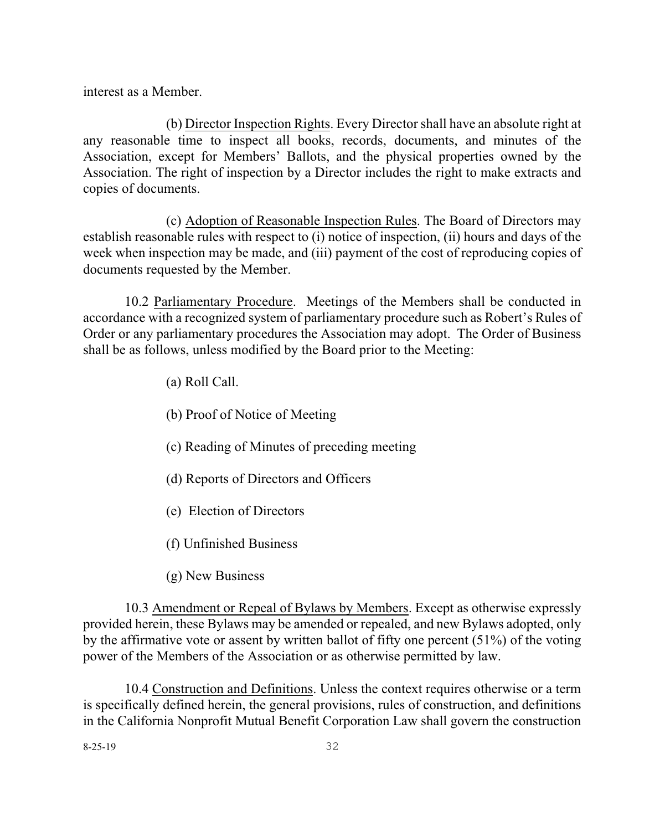interest as a Member.

(b) Director Inspection Rights. Every Director shall have an absolute right at any reasonable time to inspect all books, records, documents, and minutes of the Association, except for Members' Ballots, and the physical properties owned by the Association. The right of inspection by a Director includes the right to make extracts and copies of documents.

(c) Adoption of Reasonable Inspection Rules. The Board of Directors may establish reasonable rules with respect to (i) notice of inspection, (ii) hours and days of the week when inspection may be made, and (iii) payment of the cost of reproducing copies of documents requested by the Member.

10.2 Parliamentary Procedure. Meetings of the Members shall be conducted in accordance with a recognized system of parliamentary procedure such as Robert's Rules of Order or any parliamentary procedures the Association may adopt. The Order of Business shall be as follows, unless modified by the Board prior to the Meeting:

(a) Roll Call.

(b) Proof of Notice of Meeting

(c) Reading of Minutes of preceding meeting

(d) Reports of Directors and Officers

(e) Election of Directors

(f) Unfinished Business

(g) New Business

10.3 Amendment or Repeal of Bylaws by Members. Except as otherwise expressly provided herein, these Bylaws may be amended or repealed, and new Bylaws adopted, only by the affirmative vote or assent by written ballot of fifty one percent (51%) of the voting power of the Members of the Association or as otherwise permitted by law.

10.4 Construction and Definitions. Unless the context requires otherwise or a term is specifically defined herein, the general provisions, rules of construction, and definitions in the California Nonprofit Mutual Benefit Corporation Law shall govern the construction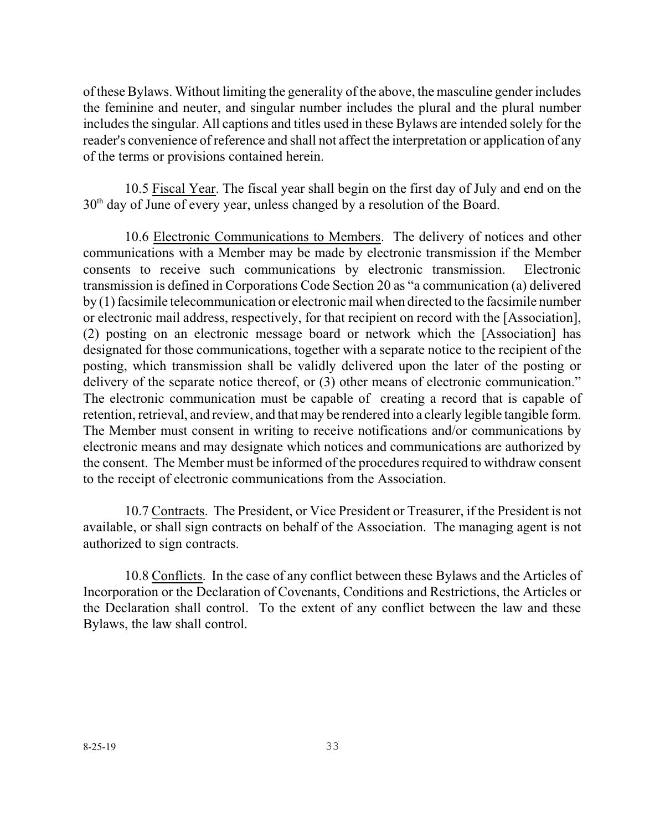oftheseBylaws. Without limiting the generality of the above, the masculine gender includes the feminine and neuter, and singular number includes the plural and the plural number includes the singular. All captions and titles used in these Bylaws are intended solely for the reader's convenience of reference and shall not affect the interpretation or application of any of the terms or provisions contained herein.

10.5 Fiscal Year. The fiscal year shall begin on the first day of July and end on the  $30<sup>th</sup>$  day of June of every year, unless changed by a resolution of the Board.

10.6 Electronic Communications to Members. The delivery of notices and other communications with a Member may be made by electronic transmission if the Member consents to receive such communications by electronic transmission. Electronic transmission is defined in Corporations Code Section 20 as "a communication (a) delivered by (1) facsimile telecommunication or electronic mail when directed to the facsimile number or electronic mail address, respectively, for that recipient on record with the [Association], (2) posting on an electronic message board or network which the [Association] has designated for those communications, together with a separate notice to the recipient of the posting, which transmission shall be validly delivered upon the later of the posting or delivery of the separate notice thereof, or  $(3)$  other means of electronic communication." The electronic communication must be capable of creating a record that is capable of retention, retrieval, and review, and that may be rendered into a clearly legible tangible form. The Member must consent in writing to receive notifications and/or communications by electronic means and may designate which notices and communications are authorized by the consent. The Member must be informed of the procedures required to withdraw consent to the receipt of electronic communications from the Association.

10.7 Contracts. The President, or Vice President or Treasurer, if the President is not available, or shall sign contracts on behalf of the Association. The managing agent is not authorized to sign contracts.

10.8 Conflicts. In the case of any conflict between these Bylaws and the Articles of Incorporation or the Declaration of Covenants, Conditions and Restrictions, the Articles or the Declaration shall control. To the extent of any conflict between the law and these Bylaws, the law shall control.